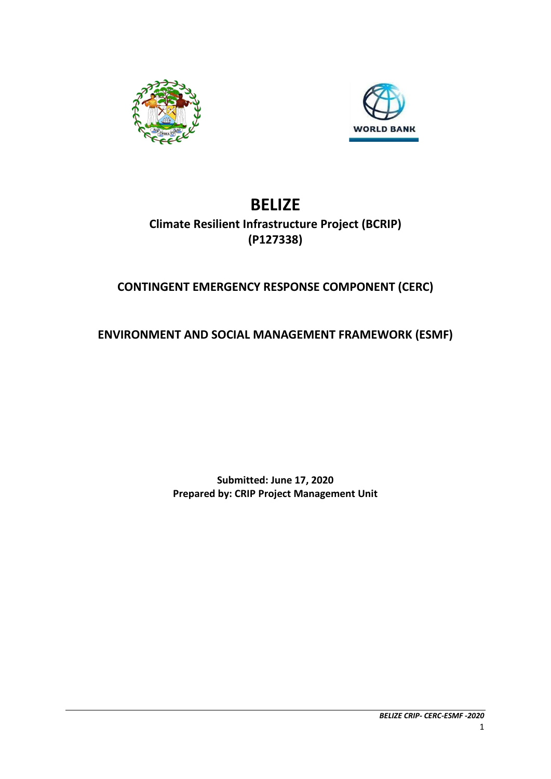



# **BELIZE**

# **Climate Resilient Infrastructure Project (BCRIP) (P127338)**

# **CONTINGENT EMERGENCY RESPONSE COMPONENT (CERC)**

# **ENVIRONMENT AND SOCIAL MANAGEMENT FRAMEWORK (ESMF)**

# **Submitted: June 17, 2020 Prepared by: CRIP Project Management Unit**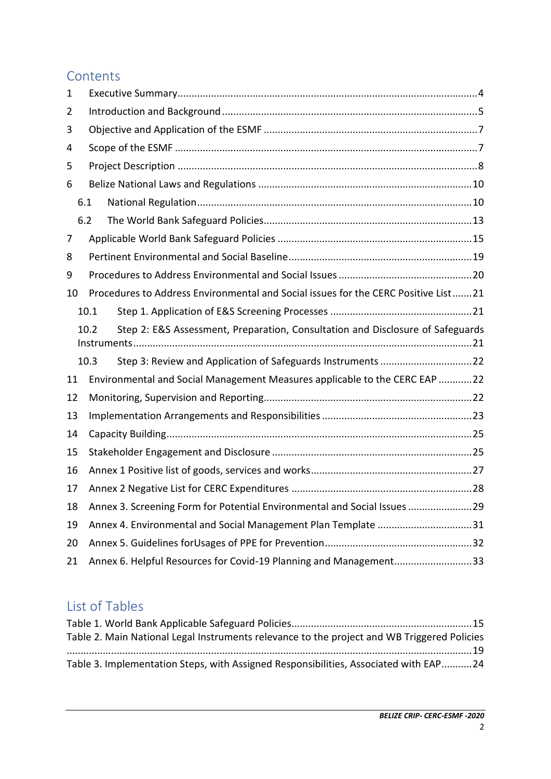# Contents

| 1  |      |                                                                                    |
|----|------|------------------------------------------------------------------------------------|
| 2  |      |                                                                                    |
| 3  |      |                                                                                    |
| 4  |      |                                                                                    |
| 5  |      |                                                                                    |
| 6  |      |                                                                                    |
|    | 6.1  |                                                                                    |
|    | 6.2  |                                                                                    |
| 7  |      |                                                                                    |
| 8  |      |                                                                                    |
| 9  |      |                                                                                    |
| 10 |      | Procedures to Address Environmental and Social issues for the CERC Positive List21 |
|    | 10.1 |                                                                                    |
|    | 10.2 | Step 2: E&S Assessment, Preparation, Consultation and Disclosure of Safeguards     |
|    | 10.3 |                                                                                    |
| 11 |      | Environmental and Social Management Measures applicable to the CERC EAP 22         |
| 12 |      |                                                                                    |
| 13 |      |                                                                                    |
| 14 |      |                                                                                    |
| 15 |      |                                                                                    |
| 16 |      |                                                                                    |
| 17 |      |                                                                                    |
| 18 |      | Annex 3. Screening Form for Potential Environmental and Social Issues  29          |
| 19 |      | Annex 4. Environmental and Social Management Plan Template 31                      |
| 20 |      |                                                                                    |
| 21 |      | Annex 6. Helpful Resources for Covid-19 Planning and Management33                  |

# List of Tables

| Table 2. Main National Legal Instruments relevance to the project and WB Triggered Policies |  |
|---------------------------------------------------------------------------------------------|--|
|                                                                                             |  |
| Table 3. Implementation Steps, with Assigned Responsibilities, Associated with EAP24        |  |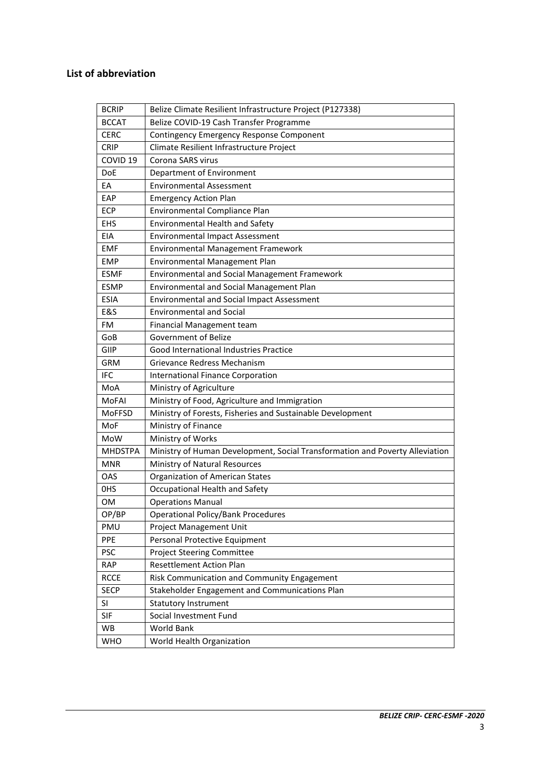### **List of abbreviation**

| <b>BCRIP</b>        | Belize Climate Resilient Infrastructure Project (P127338)                    |
|---------------------|------------------------------------------------------------------------------|
| <b>BCCAT</b>        | Belize COVID-19 Cash Transfer Programme                                      |
| <b>CERC</b>         | Contingency Emergency Response Component                                     |
| <b>CRIP</b>         | Climate Resilient Infrastructure Project                                     |
| COVID <sub>19</sub> | Corona SARS virus                                                            |
| <b>DoE</b>          | Department of Environment                                                    |
| EA                  | <b>Environmental Assessment</b>                                              |
| EAP                 | <b>Emergency Action Plan</b>                                                 |
| ECP                 | Environmental Compliance Plan                                                |
| <b>EHS</b>          | <b>Environmental Health and Safety</b>                                       |
| <b>EIA</b>          | <b>Environmental Impact Assessment</b>                                       |
| <b>EMF</b>          | Environmental Management Framework                                           |
| <b>EMP</b>          | Environmental Management Plan                                                |
| <b>ESMF</b>         | <b>Environmental and Social Management Framework</b>                         |
| <b>ESMP</b>         | <b>Environmental and Social Management Plan</b>                              |
| <b>ESIA</b>         | <b>Environmental and Social Impact Assessment</b>                            |
| <b>E&amp;S</b>      | <b>Environmental and Social</b>                                              |
| FM                  | Financial Management team                                                    |
| GoB                 | Government of Belize                                                         |
| GIIP                | Good International Industries Practice                                       |
| <b>GRM</b>          | Grievance Redress Mechanism                                                  |
| IFC                 | <b>International Finance Corporation</b>                                     |
| MoA                 | Ministry of Agriculture                                                      |
| <b>MoFAI</b>        | Ministry of Food, Agriculture and Immigration                                |
| MoFFSD              | Ministry of Forests, Fisheries and Sustainable Development                   |
| MoF                 | Ministry of Finance                                                          |
| MoW                 | Ministry of Works                                                            |
| <b>MHDSTPA</b>      | Ministry of Human Development, Social Transformation and Poverty Alleviation |
| <b>MNR</b>          | Ministry of Natural Resources                                                |
| OAS                 | Organization of American States                                              |
| 0HS                 | Occupational Health and Safety                                               |
| 0M                  | <b>Operations Manual</b>                                                     |
| OP/BP               | <b>Operational Policy/Bank Procedures</b>                                    |
| PMU                 | Project Management Unit                                                      |
| <b>PPE</b>          | Personal Protective Equipment                                                |
| <b>PSC</b>          | <b>Project Steering Committee</b>                                            |
| <b>RAP</b>          | <b>Resettlement Action Plan</b>                                              |
| <b>RCCE</b>         | Risk Communication and Community Engagement                                  |
| <b>SECP</b>         | Stakeholder Engagement and Communications Plan                               |
| SI                  | <b>Statutory Instrument</b>                                                  |
| <b>SIF</b>          | Social Investment Fund                                                       |
| WB                  | World Bank                                                                   |
| <b>WHO</b>          | World Health Organization                                                    |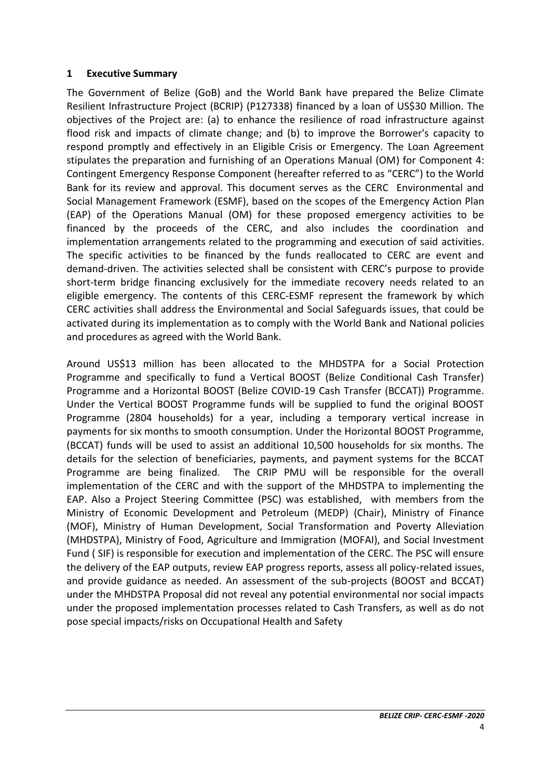## <span id="page-3-0"></span>**1 Executive Summary**

The Government of Belize (GoB) and the World Bank have prepared the Belize Climate Resilient Infrastructure Project (BCRIP) (P127338) financed by a loan of US\$30 Million. The objectives of the Project are: (a) to enhance the resilience of road infrastructure against flood risk and impacts of climate change; and (b) to improve the Borrower's capacity to respond promptly and effectively in an Eligible Crisis or Emergency. The Loan Agreement stipulates the preparation and furnishing of an Operations Manual (OM) for Component 4: Contingent Emergency Response Component (hereafter referred to as "CERC") to the World Bank for its review and approval. This document serves as the CERC Environmental and Social Management Framework (ESMF), based on the scopes of the Emergency Action Plan (EAP) of the Operations Manual (OM) for these proposed emergency activities to be financed by the proceeds of the CERC, and also includes the coordination and implementation arrangements related to the programming and execution of said activities. The specific activities to be financed by the funds reallocated to CERC are event and demand-driven. The activities selected shall be consistent with CERC's purpose to provide short-term bridge financing exclusively for the immediate recovery needs related to an eligible emergency. The contents of this CERC-ESMF represent the framework by which CERC activities shall address the Environmental and Social Safeguards issues, that could be activated during its implementation as to comply with the World Bank and National policies and procedures as agreed with the World Bank.

Around US\$13 million has been allocated to the MHDSTPA for a Social Protection Programme and specifically to fund a Vertical BOOST (Belize Conditional Cash Transfer) Programme and a Horizontal BOOST (Belize COVID-19 Cash Transfer (BCCAT)) Programme. Under the Vertical BOOST Programme funds will be supplied to fund the original BOOST Programme (2804 households) for a year, including a temporary vertical increase in payments for six months to smooth consumption. Under the Horizontal BOOST Programme, (BCCAT) funds will be used to assist an additional 10,500 households for six months. The details for the selection of beneficiaries, payments, and payment systems for the BCCAT Programme are being finalized. The CRIP PMU will be responsible for the overall implementation of the CERC and with the support of the MHDSTPA to implementing the EAP. Also a Project Steering Committee (PSC) was established, with members from the Ministry of Economic Development and Petroleum (MEDP) (Chair), Ministry of Finance (MOF), Ministry of Human Development, Social Transformation and Poverty Alleviation (MHDSTPA), Ministry of Food, Agriculture and Immigration (MOFAI), and Social Investment Fund ( SIF) is responsible for execution and implementation of the CERC. The PSC will ensure the delivery of the EAP outputs, review EAP progress reports, assess all policy-related issues, and provide guidance as needed. An assessment of the sub-projects (BOOST and BCCAT) under the MHDSTPA Proposal did not reveal any potential environmental nor social impacts under the proposed implementation processes related to Cash Transfers, as well as do not pose special impacts/risks on Occupational Health and Safety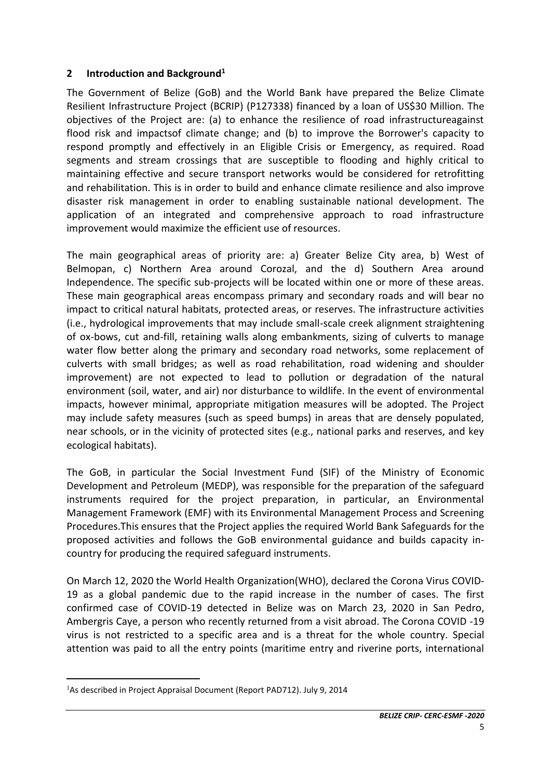# <span id="page-4-0"></span>**2 Introduction and Background<sup>1</sup>**

The Government of Belize (GoB) and the World Bank have prepared the Belize Climate Resilient Infrastructure Project (BCRIP) (P127338) financed by a loan of US\$30 Million. The objectives of the Project are: (a) to enhance the resilience of road infrastructureagainst flood risk and impactsof climate change; and (b) to improve the Borrower's capacity to respond promptly and effectively in an Eligible Crisis or Emergency, as required. Road segments and stream crossings that are susceptible to flooding and highly critical to maintaining effective and secure transport networks would be considered for retrofitting and rehabilitation. This is in order to build and enhance climate resilience and also improve disaster risk management in order to enabling sustainable national development. The application of an integrated and comprehensive approach to road infrastructure improvement would maximize the efficient use of resources.

The main geographical areas of priority are: a) Greater Belize City area, b) West of Belmopan, c) Northern Area around Corozal, and the d) Southern Area around Independence. The specific sub-projects will be located within one or more of these areas. These main geographical areas encompass primary and secondary roads and will bear no impact to critical natural habitats, protected areas, or reserves. The infrastructure activities (i.e., hydrological improvements that may include small-scale creek alignment straightening of ox-bows, cut and-fill, retaining walls along embankments, sizing of culverts to manage water flow better along the primary and secondary road networks, some replacement of culverts with small bridges; as well as road rehabilitation, road widening and shoulder improvement) are not expected to lead to pollution or degradation of the natural environment (soil, water, and air) nor disturbance to wildlife. In the event of environmental impacts, however minimal, appropriate mitigation measures will be adopted. The Project may include safety measures (such as speed bumps) in areas that are densely populated, near schools, or in the vicinity of protected sites (e.g., national parks and reserves, and key ecological habitats).

The GoB, in particular the Social Investment Fund (SIF) of the Ministry of Economic Development and Petroleum (MEDP), was responsible for the preparation of the safeguard instruments required for the project preparation, in particular, an Environmental Management Framework (EMF) with its Environmental Management Process and Screening Procedures.This ensures that the Project applies the required World Bank Safeguards for the proposed activities and follows the GoB environmental guidance and builds capacity incountry for producing the required safeguard instruments.

On March 12, 2020 the World Health Organization(WHO), declared the Corona Virus COVID-19 as a global pandemic due to the rapid increase in the number of cases. The first confirmed case of COVID-19 detected in Belize was on March 23, 2020 in San Pedro, Ambergris Caye, a person who recently returned from a visit abroad. The Corona COVID -19 virus is not restricted to a specific area and is a threat for the whole country. Special attention was paid to all the entry points (maritime entry and riverine ports, international

<sup>&</sup>lt;sup>1</sup>As described in Project Appraisal Document (Report PAD712). July 9, 2014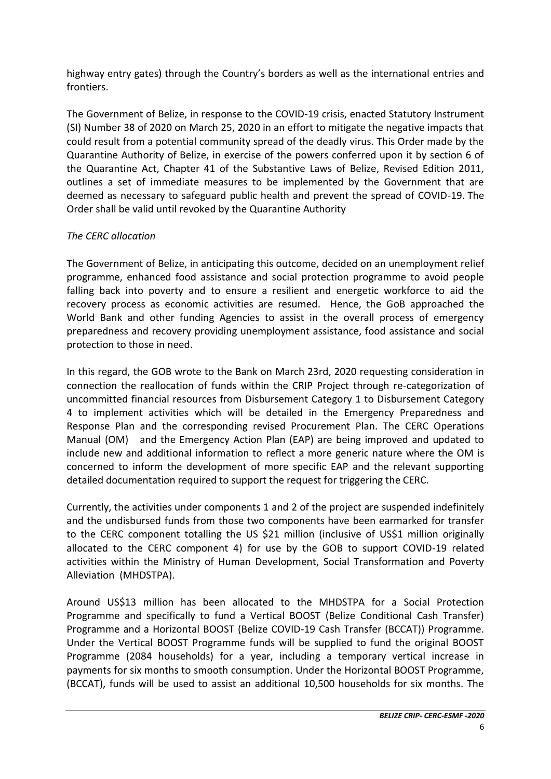highway entry gates) through the Country's borders as well as the international entries and frontiers.

The Government of Belize, in response to the COVID-19 crisis, enacted Statutory Instrument (SI) Number 38 of 2020 on March 25, 2020 in an effort to mitigate the negative impacts that could result from a potential community spread of the deadly virus. This Order made by the Quarantine Authority of Belize, in exercise of the powers conferred upon it by section 6 of the Quarantine Act, Chapter 41 of the Substantive Laws of Belize, Revised Edition 2011, outlines a set of immediate measures to be implemented by the Government that are deemed as necessary to safeguard public health and prevent the spread of COVID-19. The Order shall be valid until revoked by the Quarantine Authority

# *The CERC allocation*

The Government of Belize, in anticipating this outcome, decided on an unemployment relief programme, enhanced food assistance and social protection programme to avoid people falling back into poverty and to ensure a resilient and energetic workforce to aid the recovery process as economic activities are resumed. Hence, the GoB approached the World Bank and other funding Agencies to assist in the overall process of emergency preparedness and recovery providing unemployment assistance, food assistance and social protection to those in need.

In this regard, the GOB wrote to the Bank on March 23rd, 2020 requesting consideration in connection the reallocation of funds within the CRIP Project through re-categorization of uncommitted financial resources from Disbursement Category 1 to Disbursement Category 4 to implement activities which will be detailed in the Emergency Preparedness and Response Plan and the corresponding revised Procurement Plan. The CERC Operations Manual (OM) and the Emergency Action Plan (EAP) are being improved and updated to include new and additional information to reflect a more generic nature where the OM is concerned to inform the development of more specific EAP and the relevant supporting detailed documentation required to support the request for triggering the CERC.

Currently, the activities under components 1 and 2 of the project are suspended indefinitely and the undisbursed funds from those two components have been earmarked for transfer to the CERC component totalling the US \$21 million (inclusive of US\$1 million originally allocated to the CERC component 4) for use by the GOB to support COVID-19 related activities within the Ministry of Human Development, Social Transformation and Poverty Alleviation (MHDSTPA).

Around US\$13 million has been allocated to the MHDSTPA for a Social Protection Programme and specifically to fund a Vertical BOOST (Belize Conditional Cash Transfer) Programme and a Horizontal BOOST (Belize COVID-19 Cash Transfer (BCCAT)) Programme. Under the Vertical BOOST Programme funds will be supplied to fund the original BOOST Programme (2084 households) for a year, including a temporary vertical increase in payments for six months to smooth consumption. Under the Horizontal BOOST Programme, (BCCAT), funds will be used to assist an additional 10,500 households for six months. The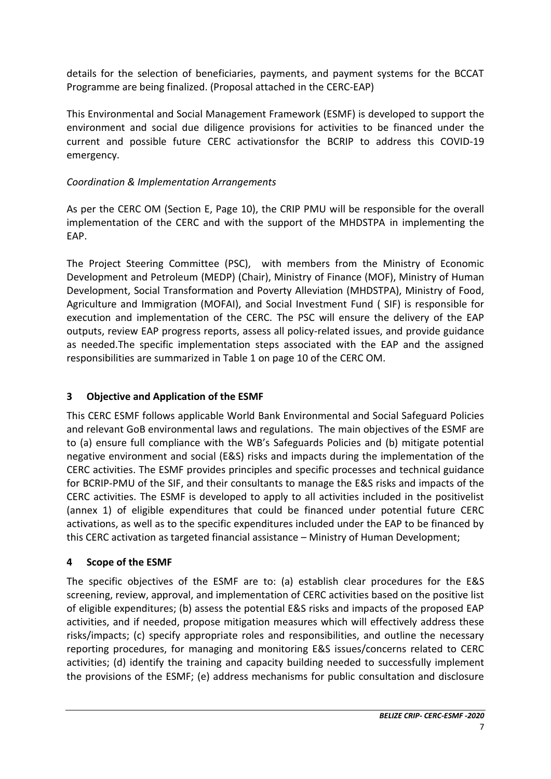details for the selection of beneficiaries, payments, and payment systems for the BCCAT Programme are being finalized. (Proposal attached in the CERC-EAP)

This Environmental and Social Management Framework (ESMF) is developed to support the environment and social due diligence provisions for activities to be financed under the current and possible future CERC activationsfor the BCRIP to address this COVID-19 emergency.

# *Coordination & Implementation Arrangements*

As per the CERC OM (Section E, Page 10), the CRIP PMU will be responsible for the overall implementation of the CERC and with the support of the MHDSTPA in implementing the EAP.

The Project Steering Committee (PSC), with members from the Ministry of Economic Development and Petroleum (MEDP) (Chair), Ministry of Finance (MOF), Ministry of Human Development, Social Transformation and Poverty Alleviation (MHDSTPA), Ministry of Food, Agriculture and Immigration (MOFAI), and Social Investment Fund ( SIF) is responsible for execution and implementation of the CERC. The PSC will ensure the delivery of the EAP outputs, review EAP progress reports, assess all policy-related issues, and provide guidance as needed.The specific implementation steps associated with the EAP and the assigned responsibilities are summarized in Table 1 on page 10 of the CERC OM.

# <span id="page-6-0"></span>**3 Objective and Application of the ESMF**

This CERC ESMF follows applicable World Bank Environmental and Social Safeguard Policies and relevant GoB environmental laws and regulations. The main objectives of the ESMF are to (a) ensure full compliance with the WB's Safeguards Policies and (b) mitigate potential negative environment and social (E&S) risks and impacts during the implementation of the CERC activities. The ESMF provides principles and specific processes and technical guidance for BCRIP-PMU of the SIF, and their consultants to manage the E&S risks and impacts of the CERC activities. The ESMF is developed to apply to all activities included in the positivelist (annex 1) of eligible expenditures that could be financed under potential future CERC activations, as well as to the specific expenditures included under the EAP to be financed by this CERC activation as targeted financial assistance – Ministry of Human Development;

# <span id="page-6-1"></span>**4 Scope of the ESMF**

The specific objectives of the ESMF are to: (a) establish clear procedures for the E&S screening, review, approval, and implementation of CERC activities based on the positive list of eligible expenditures; (b) assess the potential E&S risks and impacts of the proposed EAP activities, and if needed, propose mitigation measures which will effectively address these risks/impacts; (c) specify appropriate roles and responsibilities, and outline the necessary reporting procedures, for managing and monitoring E&S issues/concerns related to CERC activities; (d) identify the training and capacity building needed to successfully implement the provisions of the ESMF; (e) address mechanisms for public consultation and disclosure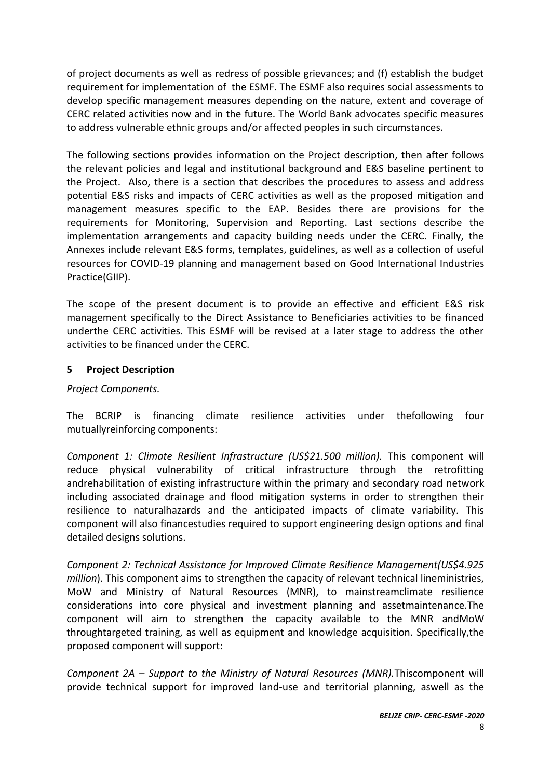of project documents as well as redress of possible grievances; and (f) establish the budget requirement for implementation of the ESMF. The ESMF also requires social assessments to develop specific management measures depending on the nature, extent and coverage of CERC related activities now and in the future. The World Bank advocates specific measures to address vulnerable ethnic groups and/or affected peoples in such circumstances.

The following sections provides information on the Project description, then after follows the relevant policies and legal and institutional background and E&S baseline pertinent to the Project. Also, there is a section that describes the procedures to assess and address potential E&S risks and impacts of CERC activities as well as the proposed mitigation and management measures specific to the EAP. Besides there are provisions for the requirements for Monitoring, Supervision and Reporting. Last sections describe the implementation arrangements and capacity building needs under the CERC. Finally, the Annexes include relevant E&S forms, templates, guidelines, as well as a collection of useful resources for COVID-19 planning and management based on Good International Industries Practice(GIIP).

The scope of the present document is to provide an effective and efficient E&S risk management specifically to the Direct Assistance to Beneficiaries activities to be financed underthe CERC activities. This ESMF will be revised at a later stage to address the other activities to be financed under the CERC.

# <span id="page-7-0"></span>**5 Project Description**

# *Project Components.*

The BCRIP is financing climate resilience activities under thefollowing four mutuallyreinforcing components:

*Component 1: Climate Resilient Infrastructure (US\$21.500 million).* This component will reduce physical vulnerability of critical infrastructure through the retrofitting andrehabilitation of existing infrastructure within the primary and secondary road network including associated drainage and flood mitigation systems in order to strengthen their resilience to naturalhazards and the anticipated impacts of climate variability. This component will also financestudies required to support engineering design options and final detailed designs solutions.

*Component 2: Technical Assistance for Improved Climate Resilience Management(US\$4.925 million*). This component aims to strengthen the capacity of relevant technical lineministries, MoW and Ministry of Natural Resources (MNR), to mainstreamclimate resilience considerations into core physical and investment planning and assetmaintenance.The component will aim to strengthen the capacity available to the MNR andMoW throughtargeted training, as well as equipment and knowledge acquisition. Specifically,the proposed component will support:

*Component 2A – Support to the Ministry of Natural Resources (MNR).*Thiscomponent will provide technical support for improved land-use and territorial planning, aswell as the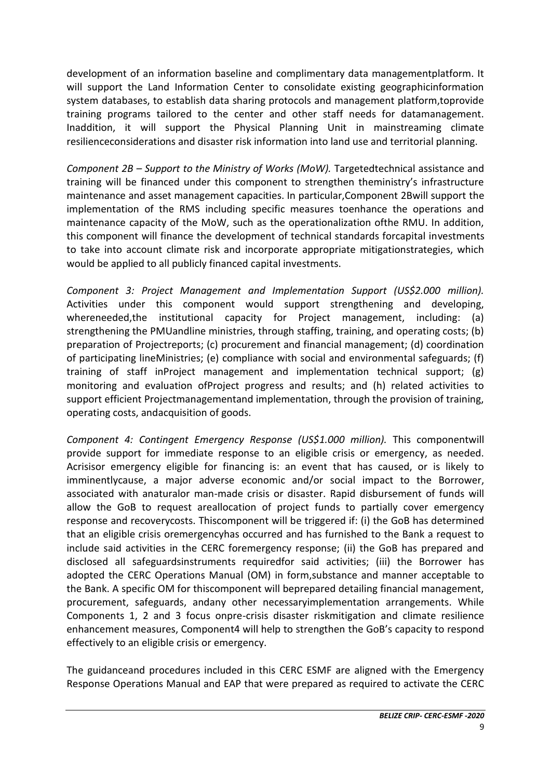development of an information baseline and complimentary data managementplatform. It will support the Land Information Center to consolidate existing geographicinformation system databases, to establish data sharing protocols and management platform,toprovide training programs tailored to the center and other staff needs for datamanagement. Inaddition, it will support the Physical Planning Unit in mainstreaming climate resilienceconsiderations and disaster risk information into land use and territorial planning.

*Component 2B – Support to the Ministry of Works (MoW).* Targetedtechnical assistance and training will be financed under this component to strengthen theministry's infrastructure maintenance and asset management capacities. In particular,Component 2Bwill support the implementation of the RMS including specific measures toenhance the operations and maintenance capacity of the MoW, such as the operationalization ofthe RMU. In addition, this component will finance the development of technical standards forcapital investments to take into account climate risk and incorporate appropriate mitigationstrategies, which would be applied to all publicly financed capital investments.

*Component 3: Project Management and Implementation Support (US\$2.000 million).*  Activities under this component would support strengthening and developing, whereneeded,the institutional capacity for Project management, including: (a) strengthening the PMUandline ministries, through staffing, training, and operating costs; (b) preparation of Projectreports; (c) procurement and financial management; (d) coordination of participating lineMinistries; (e) compliance with social and environmental safeguards; (f) training of staff inProject management and implementation technical support; (g) monitoring and evaluation ofProject progress and results; and (h) related activities to support efficient Projectmanagementand implementation, through the provision of training, operating costs, andacquisition of goods.

*Component 4: Contingent Emergency Response (US\$1.000 million).* This componentwill provide support for immediate response to an eligible crisis or emergency, as needed. Acrisisor emergency eligible for financing is: an event that has caused, or is likely to imminentlycause, a major adverse economic and/or social impact to the Borrower, associated with anaturalor man-made crisis or disaster. Rapid disbursement of funds will allow the GoB to request areallocation of project funds to partially cover emergency response and recoverycosts. Thiscomponent will be triggered if: (i) the GoB has determined that an eligible crisis oremergencyhas occurred and has furnished to the Bank a request to include said activities in the CERC foremergency response; (ii) the GoB has prepared and disclosed all safeguardsinstruments requiredfor said activities; (iii) the Borrower has adopted the CERC Operations Manual (OM) in form,substance and manner acceptable to the Bank. A specific OM for thiscomponent will beprepared detailing financial management, procurement, safeguards, andany other necessaryimplementation arrangements. While Components 1, 2 and 3 focus onpre-crisis disaster riskmitigation and climate resilience enhancement measures, Component4 will help to strengthen the GoB's capacity to respond effectively to an eligible crisis or emergency.

The guidanceand procedures included in this CERC ESMF are aligned with the Emergency Response Operations Manual and EAP that were prepared as required to activate the CERC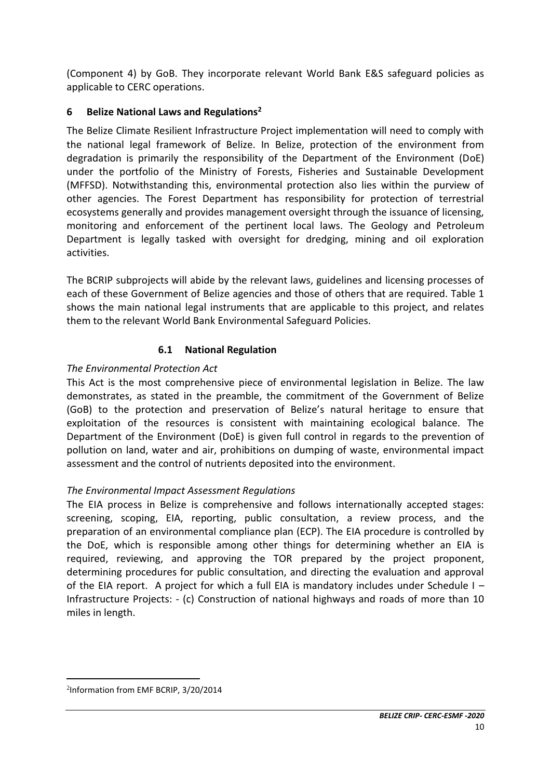(Component 4) by GoB. They incorporate relevant World Bank E&S safeguard policies as applicable to CERC operations.

# <span id="page-9-0"></span>**6 Belize National Laws and Regulations<sup>2</sup>**

The Belize Climate Resilient Infrastructure Project implementation will need to comply with the national legal framework of Belize. In Belize, protection of the environment from degradation is primarily the responsibility of the Department of the Environment (DoE) under the portfolio of the Ministry of Forests, Fisheries and Sustainable Development (MFFSD). Notwithstanding this, environmental protection also lies within the purview of other agencies. The Forest Department has responsibility for protection of terrestrial ecosystems generally and provides management oversight through the issuance of licensing, monitoring and enforcement of the pertinent local laws. The Geology and Petroleum Department is legally tasked with oversight for dredging, mining and oil exploration activities.

The BCRIP subprojects will abide by the relevant laws, guidelines and licensing processes of each of these Government of Belize agencies and those of others that are required. Table 1 shows the main national legal instruments that are applicable to this project, and relates them to the relevant World Bank Environmental Safeguard Policies.

# **6.1 National Regulation**

# <span id="page-9-1"></span>*The Environmental Protection Act*

This Act is the most comprehensive piece of environmental legislation in Belize. The law demonstrates, as stated in the preamble, the commitment of the Government of Belize (GoB) to the protection and preservation of Belize's natural heritage to ensure that exploitation of the resources is consistent with maintaining ecological balance. The Department of the Environment (DoE) is given full control in regards to the prevention of pollution on land, water and air, prohibitions on dumping of waste, environmental impact assessment and the control of nutrients deposited into the environment.

# *The Environmental Impact Assessment Regulations*

The EIA process in Belize is comprehensive and follows internationally accepted stages: screening, scoping, EIA, reporting, public consultation, a review process, and the preparation of an environmental compliance plan (ECP). The EIA procedure is controlled by the DoE, which is responsible among other things for determining whether an EIA is required, reviewing, and approving the TOR prepared by the project proponent, determining procedures for public consultation, and directing the evaluation and approval of the EIA report. A project for which a full EIA is mandatory includes under Schedule I – Infrastructure Projects: - (c) Construction of national highways and roads of more than 10 miles in length.

<sup>2</sup> Information from EMF BCRIP, 3/20/2014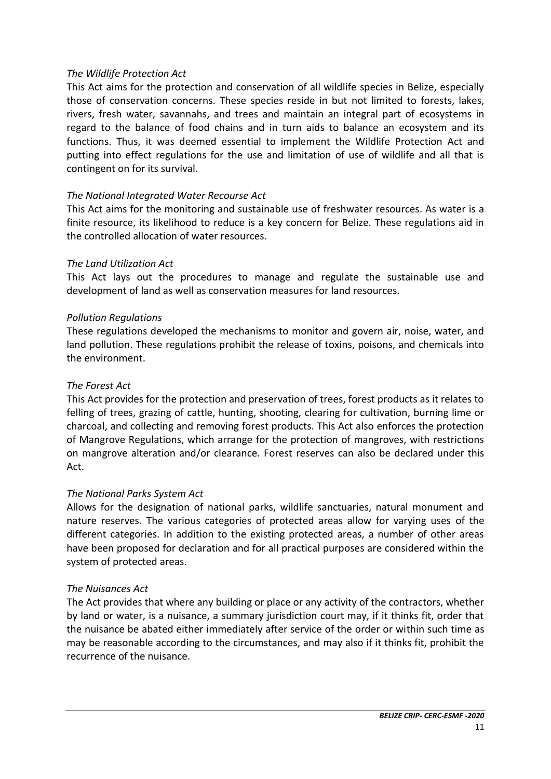#### *The Wildlife Protection Act*

This Act aims for the protection and conservation of all wildlife species in Belize, especially those of conservation concerns. These species reside in but not limited to forests, lakes, rivers, fresh water, savannahs, and trees and maintain an integral part of ecosystems in regard to the balance of food chains and in turn aids to balance an ecosystem and its functions. Thus, it was deemed essential to implement the Wildlife Protection Act and putting into effect regulations for the use and limitation of use of wildlife and all that is contingent on for its survival.

#### *The National Integrated Water Recourse Act*

This Act aims for the monitoring and sustainable use of freshwater resources. As water is a finite resource, its likelihood to reduce is a key concern for Belize. These regulations aid in the controlled allocation of water resources.

#### *The Land Utilization Act*

This Act lays out the procedures to manage and regulate the sustainable use and development of land as well as conservation measures for land resources.

#### *Pollution Regulations*

These regulations developed the mechanisms to monitor and govern air, noise, water, and land pollution. These regulations prohibit the release of toxins, poisons, and chemicals into the environment.

#### *The Forest Act*

This Act provides for the protection and preservation of trees, forest products as it relates to felling of trees, grazing of cattle, hunting, shooting, clearing for cultivation, burning lime or charcoal, and collecting and removing forest products. This Act also enforces the protection of Mangrove Regulations, which arrange for the protection of mangroves, with restrictions on mangrove alteration and/or clearance. Forest reserves can also be declared under this Act.

#### *The National Parks System Act*

Allows for the designation of national parks, wildlife sanctuaries, natural monument and nature reserves. The various categories of protected areas allow for varying uses of the different categories. In addition to the existing protected areas, a number of other areas have been proposed for declaration and for all practical purposes are considered within the system of protected areas.

#### *The Nuisances Act*

The Act provides that where any building or place or any activity of the contractors, whether by land or water, is a nuisance, a summary jurisdiction court may, if it thinks fit, order that the nuisance be abated either immediately after service of the order or within such time as may be reasonable according to the circumstances, and may also if it thinks fit, prohibit the recurrence of the nuisance.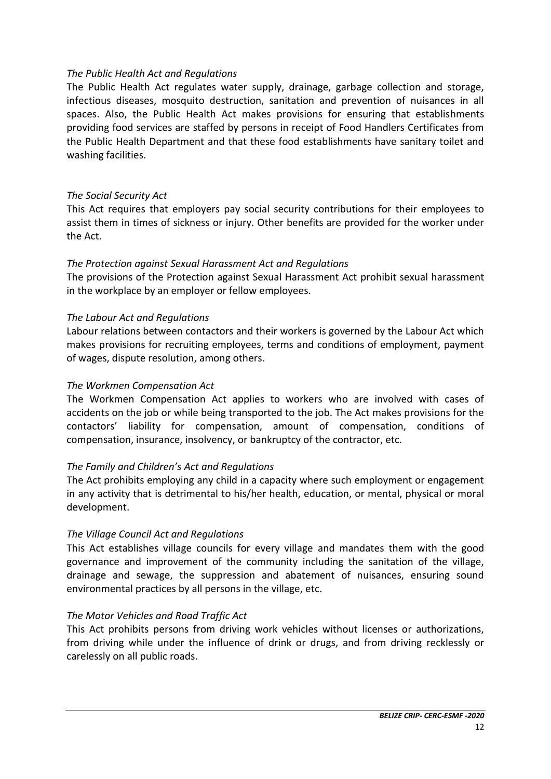## *The Public Health Act and Regulations*

The Public Health Act regulates water supply, drainage, garbage collection and storage, infectious diseases, mosquito destruction, sanitation and prevention of nuisances in all spaces. Also, the Public Health Act makes provisions for ensuring that establishments providing food services are staffed by persons in receipt of Food Handlers Certificates from the Public Health Department and that these food establishments have sanitary toilet and washing facilities.

#### *The Social Security Act*

This Act requires that employers pay social security contributions for their employees to assist them in times of sickness or injury. Other benefits are provided for the worker under the Act.

#### *The Protection against Sexual Harassment Act and Regulations*

The provisions of the Protection against Sexual Harassment Act prohibit sexual harassment in the workplace by an employer or fellow employees.

#### *The Labour Act and Regulations*

Labour relations between contactors and their workers is governed by the Labour Act which makes provisions for recruiting employees, terms and conditions of employment, payment of wages, dispute resolution, among others.

#### *The Workmen Compensation Act*

The Workmen Compensation Act applies to workers who are involved with cases of accidents on the job or while being transported to the job. The Act makes provisions for the contactors' liability for compensation, amount of compensation, conditions of compensation, insurance, insolvency, or bankruptcy of the contractor, etc.

## *The Family and Children's Act and Regulations*

The Act prohibits employing any child in a capacity where such employment or engagement in any activity that is detrimental to his/her health, education, or mental, physical or moral development.

## *The Village Council Act and Regulations*

This Act establishes village councils for every village and mandates them with the good governance and improvement of the community including the sanitation of the village, drainage and sewage, the suppression and abatement of nuisances, ensuring sound environmental practices by all persons in the village, etc.

#### *The Motor Vehicles and Road Traffic Act*

This Act prohibits persons from driving work vehicles without licenses or authorizations, from driving while under the influence of drink or drugs, and from driving recklessly or carelessly on all public roads.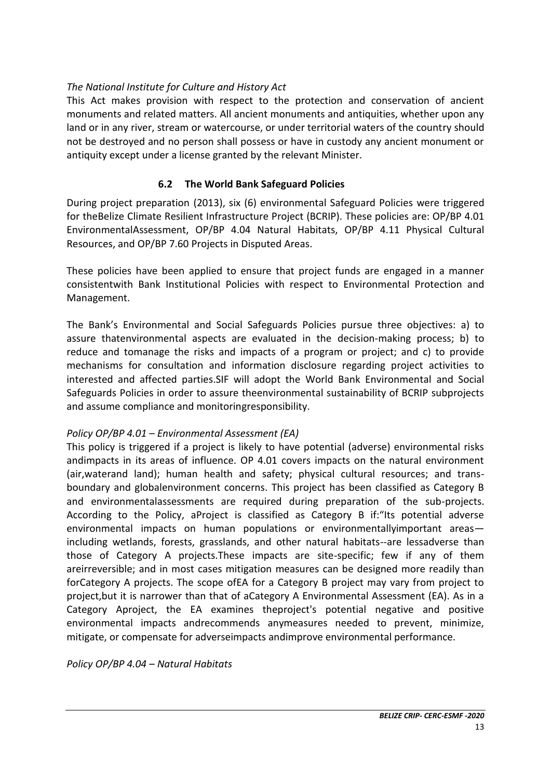# *The National Institute for Culture and History Act*

This Act makes provision with respect to the protection and conservation of ancient monuments and related matters. All ancient monuments and antiquities, whether upon any land or in any river, stream or watercourse, or under territorial waters of the country should not be destroyed and no person shall possess or have in custody any ancient monument or antiquity except under a license granted by the relevant Minister.

# **6.2 The World Bank Safeguard Policies**

<span id="page-12-0"></span>During project preparation (2013), six (6) environmental Safeguard Policies were triggered for theBelize Climate Resilient Infrastructure Project (BCRIP). These policies are: OP/BP 4.01 EnvironmentalAssessment, OP/BP 4.04 Natural Habitats, OP/BP 4.11 Physical Cultural Resources, and OP/BP 7.60 Projects in Disputed Areas.

These policies have been applied to ensure that project funds are engaged in a manner consistentwith Bank Institutional Policies with respect to Environmental Protection and Management.

The Bank's Environmental and Social Safeguards Policies pursue three objectives: a) to assure thatenvironmental aspects are evaluated in the decision-making process; b) to reduce and tomanage the risks and impacts of a program or project; and c) to provide mechanisms for consultation and information disclosure regarding project activities to interested and affected parties.SIF will adopt the World Bank Environmental and Social Safeguards Policies in order to assure theenvironmental sustainability of BCRIP subprojects and assume compliance and monitoringresponsibility.

## *Policy OP/BP 4.01 – Environmental Assessment (EA)*

This policy is triggered if a project is likely to have potential (adverse) environmental risks andimpacts in its areas of influence. OP 4.01 covers impacts on the natural environment (air,waterand land); human health and safety; physical cultural resources; and transboundary and globalenvironment concerns. This project has been classified as Category B and environmentalassessments are required during preparation of the sub-projects. According to the Policy, aProject is classified as Category B if:"Its potential adverse environmental impacts on human populations or environmentallyimportant areas including wetlands, forests, grasslands, and other natural habitats--are lessadverse than those of Category A projects.These impacts are site-specific; few if any of them areirreversible; and in most cases mitigation measures can be designed more readily than forCategory A projects. The scope ofEA for a Category B project may vary from project to project,but it is narrower than that of aCategory A Environmental Assessment (EA). As in a Category Aproject, the EA examines theproject's potential negative and positive environmental impacts andrecommends anymeasures needed to prevent, minimize, mitigate, or compensate for adverseimpacts andimprove environmental performance.

*Policy OP/BP 4.04 – Natural Habitats*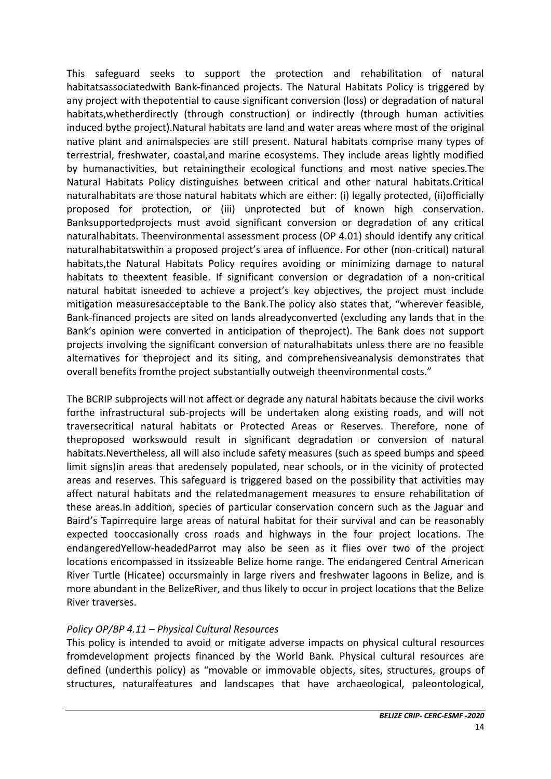This safeguard seeks to support the protection and rehabilitation of natural habitatsassociatedwith Bank-financed projects. The Natural Habitats Policy is triggered by any project with thepotential to cause significant conversion (loss) or degradation of natural habitats,whetherdirectly (through construction) or indirectly (through human activities induced bythe project).Natural habitats are land and water areas where most of the original native plant and animalspecies are still present. Natural habitats comprise many types of terrestrial, freshwater, coastal,and marine ecosystems. They include areas lightly modified by humanactivities, but retainingtheir ecological functions and most native species.The Natural Habitats Policy distinguishes between critical and other natural habitats.Critical naturalhabitats are those natural habitats which are either: (i) legally protected, (ii)officially proposed for protection, or (iii) unprotected but of known high conservation. Banksupportedprojects must avoid significant conversion or degradation of any critical naturalhabitats. Theenvironmental assessment process (OP 4.01) should identify any critical naturalhabitatswithin a proposed project's area of influence. For other (non-critical) natural habitats,the Natural Habitats Policy requires avoiding or minimizing damage to natural habitats to theextent feasible. If significant conversion or degradation of a non-critical natural habitat isneeded to achieve a project's key objectives, the project must include mitigation measuresacceptable to the Bank.The policy also states that, "wherever feasible, Bank-financed projects are sited on lands alreadyconverted (excluding any lands that in the Bank's opinion were converted in anticipation of theproject). The Bank does not support projects involving the significant conversion of naturalhabitats unless there are no feasible alternatives for theproject and its siting, and comprehensiveanalysis demonstrates that overall benefits fromthe project substantially outweigh theenvironmental costs."

The BCRIP subprojects will not affect or degrade any natural habitats because the civil works forthe infrastructural sub-projects will be undertaken along existing roads, and will not traversecritical natural habitats or Protected Areas or Reserves. Therefore, none of theproposed workswould result in significant degradation or conversion of natural habitats.Nevertheless, all will also include safety measures (such as speed bumps and speed limit signs)in areas that aredensely populated, near schools, or in the vicinity of protected areas and reserves. This safeguard is triggered based on the possibility that activities may affect natural habitats and the relatedmanagement measures to ensure rehabilitation of these areas.In addition, species of particular conservation concern such as the Jaguar and Baird's Tapirrequire large areas of natural habitat for their survival and can be reasonably expected tooccasionally cross roads and highways in the four project locations. The endangeredYellow-headedParrot may also be seen as it flies over two of the project locations encompassed in itssizeable Belize home range. The endangered Central American River Turtle (Hicatee) occursmainly in large rivers and freshwater lagoons in Belize, and is more abundant in the BelizeRiver, and thus likely to occur in project locations that the Belize River traverses.

# *Policy OP/BP 4.11 – Physical Cultural Resources*

This policy is intended to avoid or mitigate adverse impacts on physical cultural resources fromdevelopment projects financed by the World Bank. Physical cultural resources are defined (underthis policy) as "movable or immovable objects, sites, structures, groups of structures, naturalfeatures and landscapes that have archaeological, paleontological,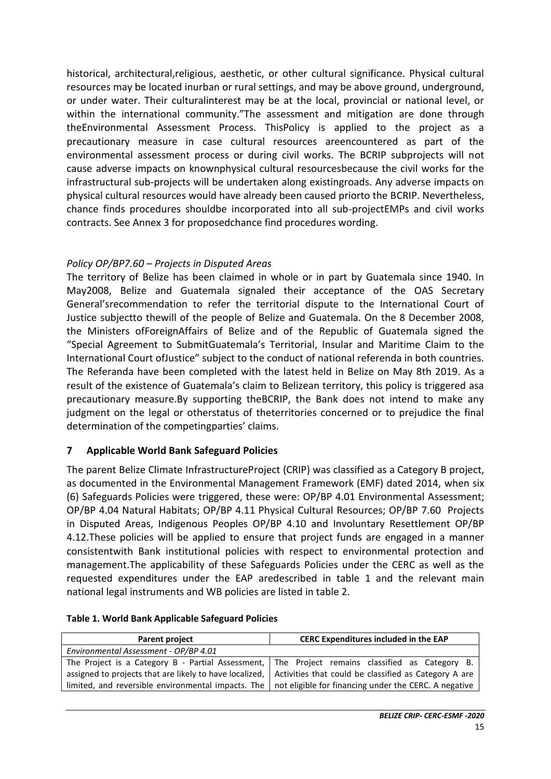historical, architectural,religious, aesthetic, or other cultural significance. Physical cultural resources may be located inurban or rural settings, and may be above ground, underground, or under water. Their culturalinterest may be at the local, provincial or national level, or within the international community."The assessment and mitigation are done through theEnvironmental Assessment Process. ThisPolicy is applied to the project as a precautionary measure in case cultural resources areencountered as part of the environmental assessment process or during civil works. The BCRIP subprojects will not cause adverse impacts on knownphysical cultural resourcesbecause the civil works for the infrastructural sub-projects will be undertaken along existingroads. Any adverse impacts on physical cultural resources would have already been caused priorto the BCRIP. Nevertheless, chance finds procedures shouldbe incorporated into all sub-projectEMPs and civil works contracts. See Annex 3 for proposedchance find procedures wording.

# *Policy OP/BP7.60 – Projects in Disputed Areas*

The territory of Belize has been claimed in whole or in part by Guatemala since 1940. In May2008, Belize and Guatemala signaled their acceptance of the OAS Secretary General'srecommendation to refer the territorial dispute to the International Court of Justice subjectto thewill of the people of Belize and Guatemala. On the 8 December 2008, the Ministers ofForeignAffairs of Belize and of the Republic of Guatemala signed the "Special Agreement to SubmitGuatemala's Territorial, Insular and Maritime Claim to the International Court ofJustice" subject to the conduct of national referenda in both countries. The Referanda have been completed with the latest held in Belize on May 8th 2019. As a result of the existence of Guatemala's claim to Belizean territory, this policy is triggered asa precautionary measure.By supporting theBCRIP, the Bank does not intend to make any judgment on the legal or otherstatus of theterritories concerned or to prejudice the final determination of the competingparties' claims.

# <span id="page-14-0"></span>**7 Applicable World Bank Safeguard Policies**

The parent Belize Climate InfrastructureProject (CRIP) was classified as a Category B project, as documented in the Environmental Management Framework (EMF) dated 2014, when six (6) Safeguards Policies were triggered, these were: OP/BP 4.01 Environmental Assessment; OP/BP 4.04 Natural Habitats; OP/BP 4.11 Physical Cultural Resources; OP/BP 7.60 Projects in Disputed Areas, Indigenous Peoples OP/BP 4.10 and Involuntary Resettlement OP/BP 4.12.These policies will be applied to ensure that project funds are engaged in a manner consistentwith Bank institutional policies with respect to environmental protection and management.The applicability of these Safeguards Policies under the CERC as well as the requested expenditures under the EAP aredescribed in table 1 and the relevant main national legal instruments and WB policies are listed in table 2.

| Parent project                        | <b>CERC Expenditures included in the EAP</b>                                                                     |
|---------------------------------------|------------------------------------------------------------------------------------------------------------------|
| Environmental Assessment - OP/BP 4.01 |                                                                                                                  |
|                                       | The Project is a Category B - Partial Assessment, The Project remains classified as Category B.                  |
|                                       | assigned to projects that are likely to have localized,   Activities that could be classified as Category A are  |
|                                       | limited, and reversible environmental impacts. The $\vert$ not eligible for financing under the CERC. A negative |

#### <span id="page-14-1"></span>**Table 1. World Bank Applicable Safeguard Policies**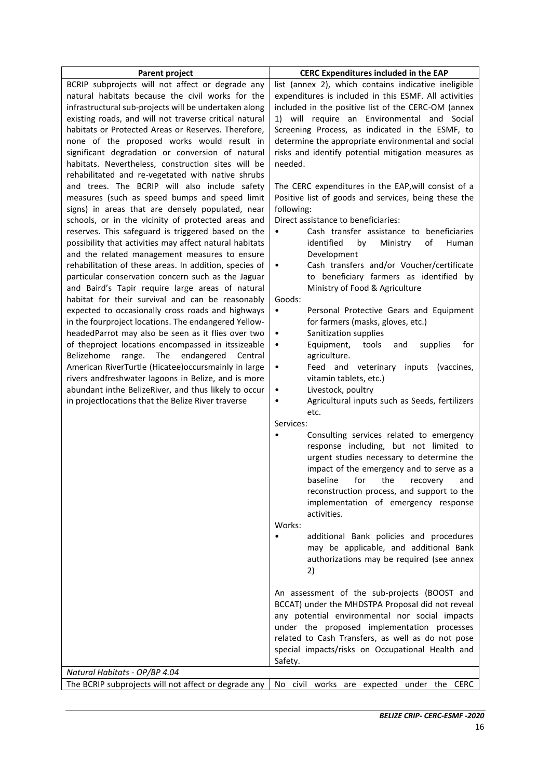| <b>Parent project</b>                                                                                                                                                                                                                                                                                                                                                                                                                                                                                                                                                                                                                                                                                                                                                                                                                                                                                                                                                                                                                                                                                                                                                                                                                                                                                                                                                                                                                                                                                                                                                                                           | CERC Expenditures included in the EAP                                                                                                                                                                                                                                                                                                                                                                                                                                                                                                                                                                                                                                                                                                                                                                                                                                                                                                                                                                                                                                                                                                                                                                                                                                                                                                                                                             |
|-----------------------------------------------------------------------------------------------------------------------------------------------------------------------------------------------------------------------------------------------------------------------------------------------------------------------------------------------------------------------------------------------------------------------------------------------------------------------------------------------------------------------------------------------------------------------------------------------------------------------------------------------------------------------------------------------------------------------------------------------------------------------------------------------------------------------------------------------------------------------------------------------------------------------------------------------------------------------------------------------------------------------------------------------------------------------------------------------------------------------------------------------------------------------------------------------------------------------------------------------------------------------------------------------------------------------------------------------------------------------------------------------------------------------------------------------------------------------------------------------------------------------------------------------------------------------------------------------------------------|---------------------------------------------------------------------------------------------------------------------------------------------------------------------------------------------------------------------------------------------------------------------------------------------------------------------------------------------------------------------------------------------------------------------------------------------------------------------------------------------------------------------------------------------------------------------------------------------------------------------------------------------------------------------------------------------------------------------------------------------------------------------------------------------------------------------------------------------------------------------------------------------------------------------------------------------------------------------------------------------------------------------------------------------------------------------------------------------------------------------------------------------------------------------------------------------------------------------------------------------------------------------------------------------------------------------------------------------------------------------------------------------------|
| BCRIP subprojects will not affect or degrade any<br>natural habitats because the civil works for the<br>infrastructural sub-projects will be undertaken along<br>existing roads, and will not traverse critical natural<br>habitats or Protected Areas or Reserves. Therefore,<br>none of the proposed works would result in<br>significant degradation or conversion of natural<br>habitats. Nevertheless, construction sites will be<br>rehabilitated and re-vegetated with native shrubs<br>and trees. The BCRIP will also include safety<br>measures (such as speed bumps and speed limit<br>signs) in areas that are densely populated, near<br>schools, or in the vicinity of protected areas and<br>reserves. This safeguard is triggered based on the<br>possibility that activities may affect natural habitats<br>and the related management measures to ensure<br>rehabilitation of these areas. In addition, species of<br>particular conservation concern such as the Jaguar<br>and Baird's Tapir require large areas of natural<br>habitat for their survival and can be reasonably<br>expected to occasionally cross roads and highways<br>in the fourproject locations. The endangered Yellow-<br>headedParrot may also be seen as it flies over two<br>of theproject locations encompassed in itssizeable<br>Belizehome<br>range.<br>The<br>endangered<br>Central<br>American RiverTurtle (Hicatee) occursmainly in large<br>rivers andfreshwater lagoons in Belize, and is more<br>abundant inthe BelizeRiver, and thus likely to occur<br>in projectlocations that the Belize River traverse | list (annex 2), which contains indicative ineligible<br>expenditures is included in this ESMF. All activities<br>included in the positive list of the CERC-OM (annex<br>1) will require an Environmental and Social<br>Screening Process, as indicated in the ESMF, to<br>determine the appropriate environmental and social<br>risks and identify potential mitigation measures as<br>needed.<br>The CERC expenditures in the EAP, will consist of a<br>Positive list of goods and services, being these the<br>following:<br>Direct assistance to beneficiaries:<br>Cash transfer assistance to beneficiaries<br>$\bullet$<br>by<br>of<br>identified<br>Ministry<br>Human<br>Development<br>Cash transfers and/or Voucher/certificate<br>$\bullet$<br>to beneficiary farmers as identified by<br>Ministry of Food & Agriculture<br>Goods:<br>Personal Protective Gears and Equipment<br>$\bullet$<br>for farmers (masks, gloves, etc.)<br>Sanitization supplies<br>$\bullet$<br>Equipment,<br>tools<br>and<br>supplies<br>$\bullet$<br>for<br>agriculture.<br>Feed and veterinary<br>inputs (vaccines,<br>$\bullet$<br>vitamin tablets, etc.)<br>Livestock, poultry<br>٠<br>Agricultural inputs such as Seeds, fertilizers<br>$\bullet$<br>etc.<br>Services:<br>Consulting services related to emergency<br>response including, but not limited to<br>urgent studies necessary to determine the |
|                                                                                                                                                                                                                                                                                                                                                                                                                                                                                                                                                                                                                                                                                                                                                                                                                                                                                                                                                                                                                                                                                                                                                                                                                                                                                                                                                                                                                                                                                                                                                                                                                 | impact of the emergency and to serve as a<br>baseline for the recovery and<br>reconstruction process, and support to the<br>implementation of emergency response<br>activities.                                                                                                                                                                                                                                                                                                                                                                                                                                                                                                                                                                                                                                                                                                                                                                                                                                                                                                                                                                                                                                                                                                                                                                                                                   |
|                                                                                                                                                                                                                                                                                                                                                                                                                                                                                                                                                                                                                                                                                                                                                                                                                                                                                                                                                                                                                                                                                                                                                                                                                                                                                                                                                                                                                                                                                                                                                                                                                 | Works:<br>additional Bank policies and procedures<br>$\bullet$<br>may be applicable, and additional Bank<br>authorizations may be required (see annex<br>2)                                                                                                                                                                                                                                                                                                                                                                                                                                                                                                                                                                                                                                                                                                                                                                                                                                                                                                                                                                                                                                                                                                                                                                                                                                       |
|                                                                                                                                                                                                                                                                                                                                                                                                                                                                                                                                                                                                                                                                                                                                                                                                                                                                                                                                                                                                                                                                                                                                                                                                                                                                                                                                                                                                                                                                                                                                                                                                                 | An assessment of the sub-projects (BOOST and<br>BCCAT) under the MHDSTPA Proposal did not reveal<br>any potential environmental nor social impacts<br>under the proposed implementation processes<br>related to Cash Transfers, as well as do not pose<br>special impacts/risks on Occupational Health and<br>Safety.                                                                                                                                                                                                                                                                                                                                                                                                                                                                                                                                                                                                                                                                                                                                                                                                                                                                                                                                                                                                                                                                             |
| Natural Habitats - OP/BP 4.04                                                                                                                                                                                                                                                                                                                                                                                                                                                                                                                                                                                                                                                                                                                                                                                                                                                                                                                                                                                                                                                                                                                                                                                                                                                                                                                                                                                                                                                                                                                                                                                   |                                                                                                                                                                                                                                                                                                                                                                                                                                                                                                                                                                                                                                                                                                                                                                                                                                                                                                                                                                                                                                                                                                                                                                                                                                                                                                                                                                                                   |
| The BCRIP subprojects will not affect or degrade any                                                                                                                                                                                                                                                                                                                                                                                                                                                                                                                                                                                                                                                                                                                                                                                                                                                                                                                                                                                                                                                                                                                                                                                                                                                                                                                                                                                                                                                                                                                                                            | No civil works are expected under the CERC                                                                                                                                                                                                                                                                                                                                                                                                                                                                                                                                                                                                                                                                                                                                                                                                                                                                                                                                                                                                                                                                                                                                                                                                                                                                                                                                                        |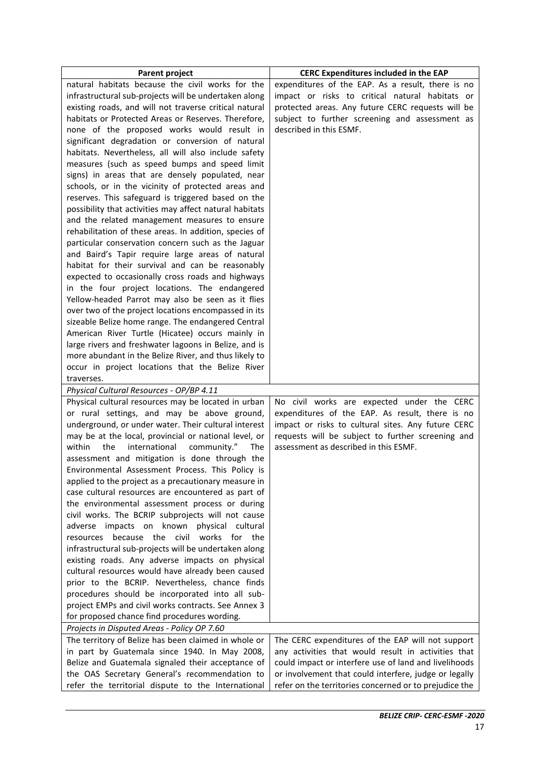| <b>Parent project</b>                                                                                                                                                                                                                                                                                                                                                                                                                                                                                                                                                                                                                                                                                                                                                                                                                                                                                                                                                                                                                                                                                                                                                                                                                                                                                                           | CERC Expenditures included in the EAP                                                                                                                                                                                                             |
|---------------------------------------------------------------------------------------------------------------------------------------------------------------------------------------------------------------------------------------------------------------------------------------------------------------------------------------------------------------------------------------------------------------------------------------------------------------------------------------------------------------------------------------------------------------------------------------------------------------------------------------------------------------------------------------------------------------------------------------------------------------------------------------------------------------------------------------------------------------------------------------------------------------------------------------------------------------------------------------------------------------------------------------------------------------------------------------------------------------------------------------------------------------------------------------------------------------------------------------------------------------------------------------------------------------------------------|---------------------------------------------------------------------------------------------------------------------------------------------------------------------------------------------------------------------------------------------------|
| natural habitats because the civil works for the<br>infrastructural sub-projects will be undertaken along<br>existing roads, and will not traverse critical natural<br>habitats or Protected Areas or Reserves. Therefore,<br>none of the proposed works would result in<br>significant degradation or conversion of natural<br>habitats. Nevertheless, all will also include safety<br>measures (such as speed bumps and speed limit<br>signs) in areas that are densely populated, near<br>schools, or in the vicinity of protected areas and<br>reserves. This safeguard is triggered based on the<br>possibility that activities may affect natural habitats<br>and the related management measures to ensure<br>rehabilitation of these areas. In addition, species of<br>particular conservation concern such as the Jaguar<br>and Baird's Tapir require large areas of natural<br>habitat for their survival and can be reasonably<br>expected to occasionally cross roads and highways<br>in the four project locations. The endangered<br>Yellow-headed Parrot may also be seen as it flies<br>over two of the project locations encompassed in its<br>sizeable Belize home range. The endangered Central<br>American River Turtle (Hicatee) occurs mainly in<br>large rivers and freshwater lagoons in Belize, and is | expenditures of the EAP. As a result, there is no<br>impact or risks to critical natural habitats or<br>protected areas. Any future CERC requests will be<br>subject to further screening and assessment as<br>described in this ESMF.            |
| more abundant in the Belize River, and thus likely to                                                                                                                                                                                                                                                                                                                                                                                                                                                                                                                                                                                                                                                                                                                                                                                                                                                                                                                                                                                                                                                                                                                                                                                                                                                                           |                                                                                                                                                                                                                                                   |
| occur in project locations that the Belize River                                                                                                                                                                                                                                                                                                                                                                                                                                                                                                                                                                                                                                                                                                                                                                                                                                                                                                                                                                                                                                                                                                                                                                                                                                                                                |                                                                                                                                                                                                                                                   |
| traverses.                                                                                                                                                                                                                                                                                                                                                                                                                                                                                                                                                                                                                                                                                                                                                                                                                                                                                                                                                                                                                                                                                                                                                                                                                                                                                                                      |                                                                                                                                                                                                                                                   |
| Physical Cultural Resources - OP/BP 4.11<br>Physical cultural resources may be located in urban<br>or rural settings, and may be above ground,<br>underground, or under water. Their cultural interest<br>may be at the local, provincial or national level, or<br>within<br>the<br>international<br>community."<br>The<br>assessment and mitigation is done through the<br>Environmental Assessment Process. This Policy is<br>applied to the project as a precautionary measure in<br>case cultural resources are encountered as part of<br>the environmental assessment process or during<br>civil works. The BCRIP subprojects will not cause<br>adverse impacts on known physical cultural<br>because the civil works for<br>resources<br>the<br>infrastructural sub-projects will be undertaken along<br>existing roads. Any adverse impacts on physical<br>cultural resources would have already been caused<br>prior to the BCRIP. Nevertheless, chance finds<br>procedures should be incorporated into all sub-<br>project EMPs and civil works contracts. See Annex 3<br>for proposed chance find procedures wording.<br>Projects in Disputed Areas - Policy OP 7.60                                                                                                                                                  | No civil works are expected under the CERC<br>expenditures of the EAP. As result, there is no<br>impact or risks to cultural sites. Any future CERC<br>requests will be subject to further screening and<br>assessment as described in this ESMF. |
| The territory of Belize has been claimed in whole or                                                                                                                                                                                                                                                                                                                                                                                                                                                                                                                                                                                                                                                                                                                                                                                                                                                                                                                                                                                                                                                                                                                                                                                                                                                                            | The CERC expenditures of the EAP will not support                                                                                                                                                                                                 |
| in part by Guatemala since 1940. In May 2008,<br>Belize and Guatemala signaled their acceptance of<br>the OAS Secretary General's recommendation to<br>refer the territorial dispute to the International                                                                                                                                                                                                                                                                                                                                                                                                                                                                                                                                                                                                                                                                                                                                                                                                                                                                                                                                                                                                                                                                                                                       | any activities that would result in activities that<br>could impact or interfere use of land and livelihoods<br>or involvement that could interfere, judge or legally<br>refer on the territories concerned or to prejudice the                   |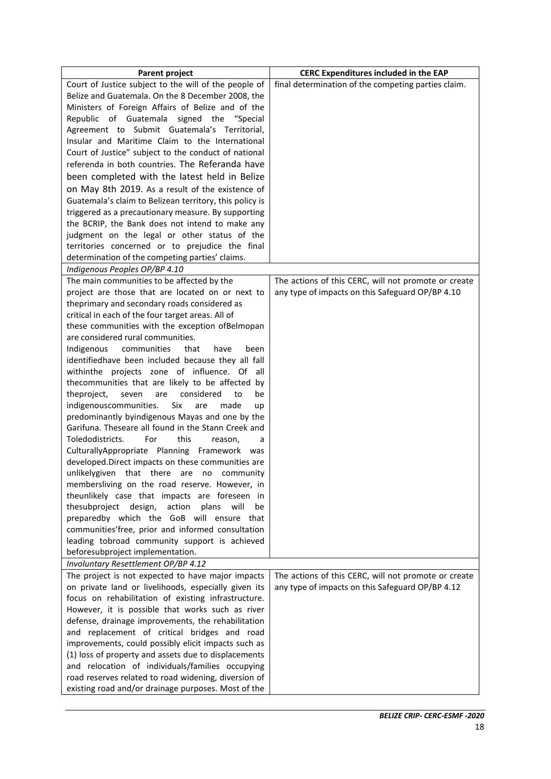| <b>Parent project</b>                                                                                   | <b>CERC Expenditures included in the EAP</b>         |
|---------------------------------------------------------------------------------------------------------|------------------------------------------------------|
| Court of Justice subject to the will of the people of                                                   | final determination of the competing parties claim.  |
| Belize and Guatemala. On the 8 December 2008, the                                                       |                                                      |
| Ministers of Foreign Affairs of Belize and of the                                                       |                                                      |
| Republic of Guatemala<br>signed the "Special                                                            |                                                      |
| Agreement to Submit Guatemala's Territorial,                                                            |                                                      |
| Insular and Maritime Claim to the International                                                         |                                                      |
| Court of Justice" subject to the conduct of national                                                    |                                                      |
| referenda in both countries. The Referanda have                                                         |                                                      |
| been completed with the latest held in Belize                                                           |                                                      |
| on May 8th 2019. As a result of the existence of                                                        |                                                      |
| Guatemala's claim to Belizean territory, this policy is                                                 |                                                      |
| triggered as a precautionary measure. By supporting                                                     |                                                      |
| the BCRIP, the Bank does not intend to make any                                                         |                                                      |
| judgment on the legal or other status of the                                                            |                                                      |
| territories concerned or to prejudice the final                                                         |                                                      |
| determination of the competing parties' claims.                                                         |                                                      |
| Indigenous Peoples OP/BP 4.10                                                                           |                                                      |
| The main communities to be affected by the                                                              | The actions of this CERC, will not promote or create |
| project are those that are located on or next to                                                        | any type of impacts on this Safeguard OP/BP 4.10     |
| theprimary and secondary roads considered as                                                            |                                                      |
| critical in each of the four target areas. All of                                                       |                                                      |
| these communities with the exception ofBelmopan                                                         |                                                      |
| are considered rural communities.                                                                       |                                                      |
| Indigenous<br>communities<br>that<br>have<br>been                                                       |                                                      |
| identifiedhave been included because they all fall                                                      |                                                      |
| withinthe projects zone of influence. Of<br>all                                                         |                                                      |
| thecommunities that are likely to be affected by                                                        |                                                      |
| theproject,<br>considered<br>seven<br>are<br>to<br>be                                                   |                                                      |
| indigenouscommunities.<br>Six<br>made<br>are<br>up                                                      |                                                      |
| predominantly byindigenous Mayas and one by the                                                         |                                                      |
| Garifuna. Theseare all found in the Stann Creek and                                                     |                                                      |
| Toledodistricts.<br>For<br>this<br>reason,<br>a                                                         |                                                      |
| CulturallyAppropriate Planning Framework was                                                            |                                                      |
| developed.Direct impacts on these communities are                                                       |                                                      |
| unlikelygiven that there are<br>no community                                                            |                                                      |
| membersliving on the road reserve. However, in                                                          |                                                      |
| theunlikely case that impacts are foreseen in<br>thesubproject design,<br>action<br>plans<br>will<br>be |                                                      |
| preparedby which the GoB will ensure that                                                               |                                                      |
| communities'free, prior and informed consultation                                                       |                                                      |
| leading tobroad community support is achieved                                                           |                                                      |
| beforesubproject implementation.                                                                        |                                                      |
| Involuntary Resettlement OP/BP 4.12                                                                     |                                                      |
| The project is not expected to have major impacts                                                       | The actions of this CERC, will not promote or create |
| on private land or livelihoods, especially given its                                                    | any type of impacts on this Safeguard OP/BP 4.12     |
| focus on rehabilitation of existing infrastructure.                                                     |                                                      |
| However, it is possible that works such as river                                                        |                                                      |
| defense, drainage improvements, the rehabilitation                                                      |                                                      |
| and replacement of critical bridges and road                                                            |                                                      |
| improvements, could possibly elicit impacts such as                                                     |                                                      |
| (1) loss of property and assets due to displacements                                                    |                                                      |
| and relocation of individuals/families occupying                                                        |                                                      |
| road reserves related to road widening, diversion of                                                    |                                                      |
| existing road and/or drainage purposes. Most of the                                                     |                                                      |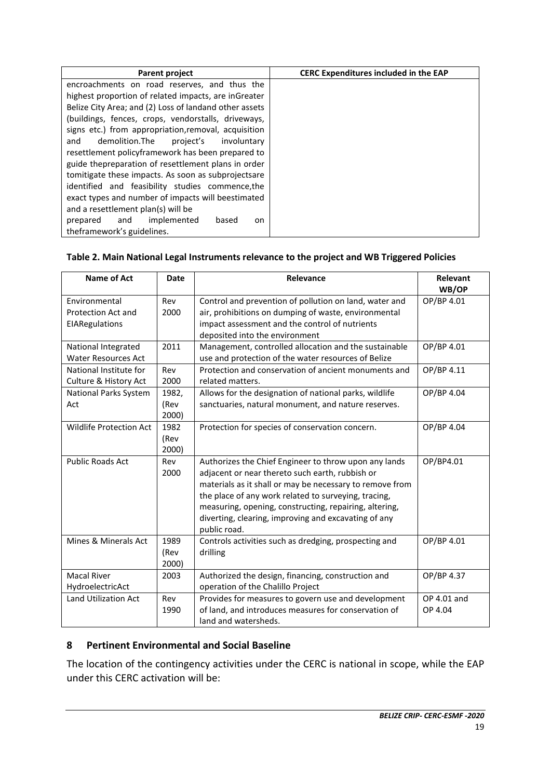| Parent project                                         | <b>CERC Expenditures included in the EAP</b> |  |  |  |  |
|--------------------------------------------------------|----------------------------------------------|--|--|--|--|
| encroachments on road reserves, and thus the           |                                              |  |  |  |  |
| highest proportion of related impacts, are inGreater   |                                              |  |  |  |  |
| Belize City Area; and (2) Loss of landand other assets |                                              |  |  |  |  |
| (buildings, fences, crops, vendorstalls, driveways,    |                                              |  |  |  |  |
| signs etc.) from appropriation, removal, acquisition   |                                              |  |  |  |  |
| demolition.The<br>project's<br>involuntary<br>and      |                                              |  |  |  |  |
| resettlement policyframework has been prepared to      |                                              |  |  |  |  |
| guide thepreparation of resettlement plans in order    |                                              |  |  |  |  |
| tomitigate these impacts. As soon as subprojectsare    |                                              |  |  |  |  |
| identified and feasibility studies commence, the       |                                              |  |  |  |  |
| exact types and number of impacts will beestimated     |                                              |  |  |  |  |
| and a resettlement plan(s) will be                     |                                              |  |  |  |  |
| implemented<br>and<br>prepared<br>based<br>on          |                                              |  |  |  |  |
| theframework's guidelines.                             |                                              |  |  |  |  |

## <span id="page-18-1"></span>**Table 2. Main National Legal Instruments relevance to the project and WB Triggered Policies**

| Name of Act                                                         | Date                                                                                                                                                                                                              | Relevance                                                                                                                                                                                                                                                                                                                                                      | Relevant<br>WB/OP      |
|---------------------------------------------------------------------|-------------------------------------------------------------------------------------------------------------------------------------------------------------------------------------------------------------------|----------------------------------------------------------------------------------------------------------------------------------------------------------------------------------------------------------------------------------------------------------------------------------------------------------------------------------------------------------------|------------------------|
| Environmental<br><b>Protection Act and</b><br><b>EIARegulations</b> | Control and prevention of pollution on land, water and<br>Rev<br>air, prohibitions on dumping of waste, environmental<br>2000<br>impact assessment and the control of nutrients<br>deposited into the environment |                                                                                                                                                                                                                                                                                                                                                                | OP/BP 4.01             |
| National Integrated<br><b>Water Resources Act</b>                   | 2011                                                                                                                                                                                                              | Management, controlled allocation and the sustainable<br>use and protection of the water resources of Belize                                                                                                                                                                                                                                                   | OP/BP 4.01             |
| National Institute for<br>Culture & History Act                     | Rev<br>2000                                                                                                                                                                                                       | Protection and conservation of ancient monuments and<br>related matters.                                                                                                                                                                                                                                                                                       | OP/BP 4.11             |
| National Parks System<br>Act                                        | 1982,<br>(Rev<br>2000)                                                                                                                                                                                            | Allows for the designation of national parks, wildlife<br>sanctuaries, natural monument, and nature reserves.                                                                                                                                                                                                                                                  | OP/BP 4.04             |
| <b>Wildlife Protection Act</b>                                      | 1982<br>(Rev<br>2000)                                                                                                                                                                                             | Protection for species of conservation concern.                                                                                                                                                                                                                                                                                                                | OP/BP 4.04             |
| <b>Public Roads Act</b>                                             | Rev<br>2000                                                                                                                                                                                                       | Authorizes the Chief Engineer to throw upon any lands<br>adjacent or near thereto such earth, rubbish or<br>materials as it shall or may be necessary to remove from<br>the place of any work related to surveying, tracing,<br>measuring, opening, constructing, repairing, altering,<br>diverting, clearing, improving and excavating of any<br>public road. | OP/BP4.01              |
| Mines & Minerals Act                                                | 1989<br>(Rev<br>2000)                                                                                                                                                                                             | Controls activities such as dredging, prospecting and<br>drilling                                                                                                                                                                                                                                                                                              | OP/BP 4.01             |
| <b>Macal River</b><br>HydroelectricAct                              | 2003                                                                                                                                                                                                              | Authorized the design, financing, construction and<br>operation of the Chalillo Project                                                                                                                                                                                                                                                                        | OP/BP 4.37             |
| Land Utilization Act                                                | Rev<br>1990                                                                                                                                                                                                       | Provides for measures to govern use and development<br>of land, and introduces measures for conservation of<br>land and watersheds.                                                                                                                                                                                                                            | OP 4.01 and<br>OP 4.04 |

#### <span id="page-18-0"></span>**8 Pertinent Environmental and Social Baseline**

The location of the contingency activities under the CERC is national in scope, while the EAP under this CERC activation will be: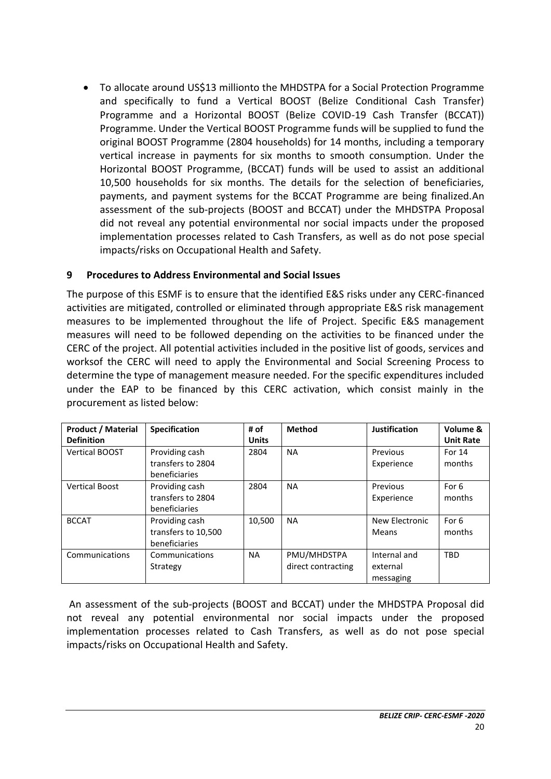• To allocate around US\$13 millionto the MHDSTPA for a Social Protection Programme and specifically to fund a Vertical BOOST (Belize Conditional Cash Transfer) Programme and a Horizontal BOOST (Belize COVID-19 Cash Transfer (BCCAT)) Programme. Under the Vertical BOOST Programme funds will be supplied to fund the original BOOST Programme (2804 households) for 14 months, including a temporary vertical increase in payments for six months to smooth consumption. Under the Horizontal BOOST Programme, (BCCAT) funds will be used to assist an additional 10,500 households for six months. The details for the selection of beneficiaries, payments, and payment systems for the BCCAT Programme are being finalized.An assessment of the sub-projects (BOOST and BCCAT) under the MHDSTPA Proposal did not reveal any potential environmental nor social impacts under the proposed implementation processes related to Cash Transfers, as well as do not pose special impacts/risks on Occupational Health and Safety.

# <span id="page-19-0"></span>**9 Procedures to Address Environmental and Social Issues**

The purpose of this ESMF is to ensure that the identified E&S risks under any CERC-financed activities are mitigated, controlled or eliminated through appropriate E&S risk management measures to be implemented throughout the life of Project. Specific E&S management measures will need to be followed depending on the activities to be financed under the CERC of the project. All potential activities included in the positive list of goods, services and worksof the CERC will need to apply the Environmental and Social Screening Process to determine the type of management measure needed. For the specific expenditures included under the EAP to be financed by this CERC activation, which consist mainly in the procurement as listed below:

| <b>Product / Material</b><br><b>Definition</b> | <b>Specification</b>                                   | # of<br><b>Units</b> | <b>Method</b>                     | Justification                         | Volume &<br><b>Unit Rate</b> |
|------------------------------------------------|--------------------------------------------------------|----------------------|-----------------------------------|---------------------------------------|------------------------------|
| <b>Vertical BOOST</b>                          | Providing cash<br>transfers to 2804<br>beneficiaries   | 2804                 | <b>NA</b>                         | Previous<br>Experience                | For 14<br>months             |
| <b>Vertical Boost</b>                          | Providing cash<br>transfers to 2804<br>beneficiaries   | 2804                 | <b>NA</b>                         | Previous<br>Experience                | For 6<br>months              |
| <b>BCCAT</b>                                   | Providing cash<br>transfers to 10,500<br>beneficiaries | 10.500               | <b>NA</b>                         | New Electronic<br>Means               | For 6<br>months              |
| Communications                                 | Communications<br>Strategy                             | <b>NA</b>            | PMU/MHDSTPA<br>direct contracting | Internal and<br>external<br>messaging | <b>TBD</b>                   |

An assessment of the sub-projects (BOOST and BCCAT) under the MHDSTPA Proposal did not reveal any potential environmental nor social impacts under the proposed implementation processes related to Cash Transfers, as well as do not pose special impacts/risks on Occupational Health and Safety.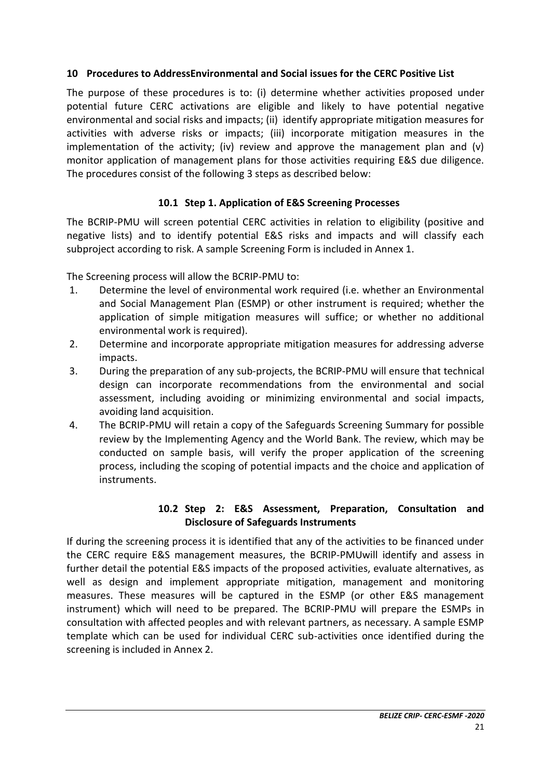# <span id="page-20-0"></span>**10 Procedures to AddressEnvironmental and Social issues for the CERC Positive List**

The purpose of these procedures is to: (i) determine whether activities proposed under potential future CERC activations are eligible and likely to have potential negative environmental and social risks and impacts; (ii) identify appropriate mitigation measures for activities with adverse risks or impacts; (iii) incorporate mitigation measures in the implementation of the activity; (iv) review and approve the management plan and (v) monitor application of management plans for those activities requiring E&S due diligence. The procedures consist of the following 3 steps as described below:

# **10.1 Step 1. Application of E&S Screening Processes**

<span id="page-20-1"></span>The BCRIP-PMU will screen potential CERC activities in relation to eligibility (positive and negative lists) and to identify potential E&S risks and impacts and will classify each subproject according to risk. A sample Screening Form is included in Annex 1.

The Screening process will allow the BCRIP-PMU to:

- 1. Determine the level of environmental work required (i.e. whether an Environmental and Social Management Plan (ESMP) or other instrument is required; whether the application of simple mitigation measures will suffice; or whether no additional environmental work is required).
- 2. Determine and incorporate appropriate mitigation measures for addressing adverse impacts.
- 3. During the preparation of any sub-projects, the BCRIP-PMU will ensure that technical design can incorporate recommendations from the environmental and social assessment, including avoiding or minimizing environmental and social impacts, avoiding land acquisition.
- 4. The BCRIP-PMU will retain a copy of the Safeguards Screening Summary for possible review by the Implementing Agency and the World Bank. The review, which may be conducted on sample basis, will verify the proper application of the screening process, including the scoping of potential impacts and the choice and application of instruments.

# **10.2 Step 2: E&S Assessment, Preparation, Consultation and Disclosure of Safeguards Instruments**

<span id="page-20-2"></span>If during the screening process it is identified that any of the activities to be financed under the CERC require E&S management measures, the BCRIP-PMUwill identify and assess in further detail the potential E&S impacts of the proposed activities, evaluate alternatives, as well as design and implement appropriate mitigation, management and monitoring measures. These measures will be captured in the ESMP (or other E&S management instrument) which will need to be prepared. The BCRIP-PMU will prepare the ESMPs in consultation with affected peoples and with relevant partners, as necessary. A sample ESMP template which can be used for individual CERC sub-activities once identified during the screening is included in Annex 2.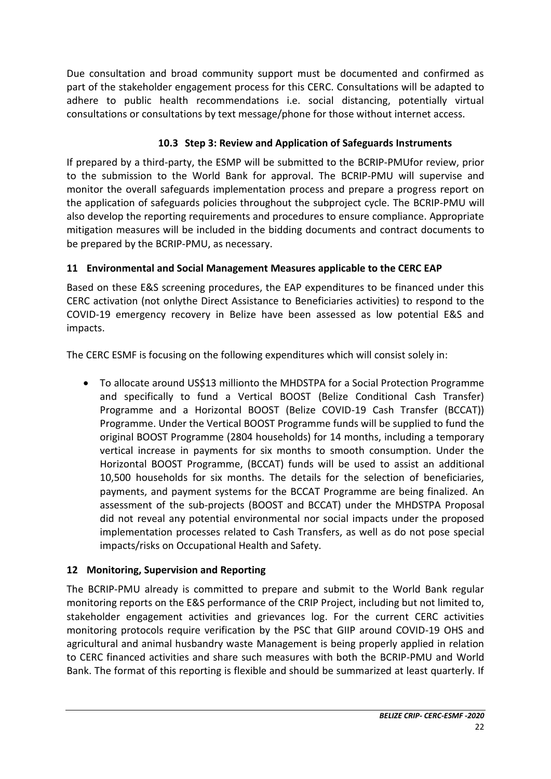Due consultation and broad community support must be documented and confirmed as part of the stakeholder engagement process for this CERC. Consultations will be adapted to adhere to public health recommendations i.e. social distancing, potentially virtual consultations or consultations by text message/phone for those without internet access.

# **10.3 Step 3: Review and Application of Safeguards Instruments**

<span id="page-21-0"></span>If prepared by a third-party, the ESMP will be submitted to the BCRIP-PMUfor review, prior to the submission to the World Bank for approval. The BCRIP-PMU will supervise and monitor the overall safeguards implementation process and prepare a progress report on the application of safeguards policies throughout the subproject cycle. The BCRIP-PMU will also develop the reporting requirements and procedures to ensure compliance. Appropriate mitigation measures will be included in the bidding documents and contract documents to be prepared by the BCRIP-PMU, as necessary.

# <span id="page-21-1"></span>**11 Environmental and Social Management Measures applicable to the CERC EAP**

Based on these E&S screening procedures, the EAP expenditures to be financed under this CERC activation (not onlythe Direct Assistance to Beneficiaries activities) to respond to the COVID-19 emergency recovery in Belize have been assessed as low potential E&S and impacts.

The CERC ESMF is focusing on the following expenditures which will consist solely in:

• To allocate around US\$13 millionto the MHDSTPA for a Social Protection Programme and specifically to fund a Vertical BOOST (Belize Conditional Cash Transfer) Programme and a Horizontal BOOST (Belize COVID-19 Cash Transfer (BCCAT)) Programme. Under the Vertical BOOST Programme funds will be supplied to fund the original BOOST Programme (2804 households) for 14 months, including a temporary vertical increase in payments for six months to smooth consumption. Under the Horizontal BOOST Programme, (BCCAT) funds will be used to assist an additional 10,500 households for six months. The details for the selection of beneficiaries, payments, and payment systems for the BCCAT Programme are being finalized. An assessment of the sub-projects (BOOST and BCCAT) under the MHDSTPA Proposal did not reveal any potential environmental nor social impacts under the proposed implementation processes related to Cash Transfers, as well as do not pose special impacts/risks on Occupational Health and Safety.

# <span id="page-21-2"></span>**12 Monitoring, Supervision and Reporting**

The BCRIP-PMU already is committed to prepare and submit to the World Bank regular monitoring reports on the E&S performance of the CRIP Project, including but not limited to, stakeholder engagement activities and grievances log. For the current CERC activities monitoring protocols require verification by the PSC that GIIP around COVID-19 OHS and agricultural and animal husbandry waste Management is being properly applied in relation to CERC financed activities and share such measures with both the BCRIP-PMU and World Bank. The format of this reporting is flexible and should be summarized at least quarterly. If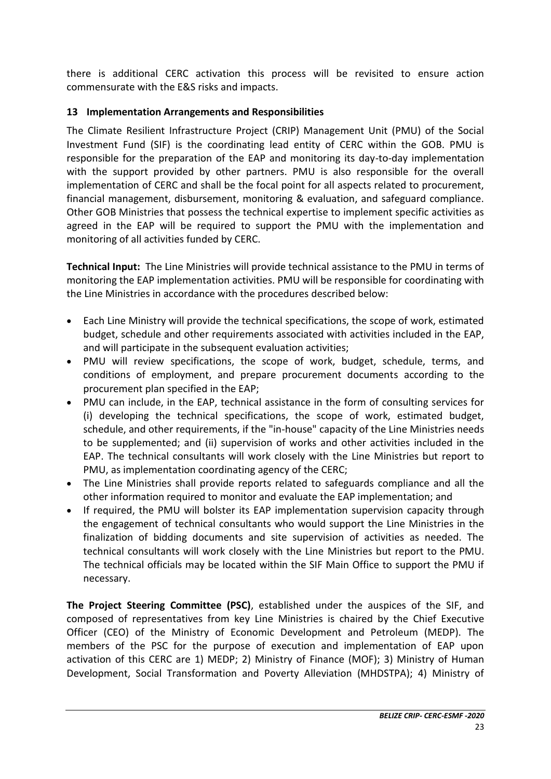there is additional CERC activation this process will be revisited to ensure action commensurate with the E&S risks and impacts.

# <span id="page-22-0"></span>**13 Implementation Arrangements and Responsibilities**

The Climate Resilient Infrastructure Project (CRIP) Management Unit (PMU) of the Social Investment Fund (SIF) is the coordinating lead entity of CERC within the GOB. PMU is responsible for the preparation of the EAP and monitoring its day-to-day implementation with the support provided by other partners. PMU is also responsible for the overall implementation of CERC and shall be the focal point for all aspects related to procurement, financial management, disbursement, monitoring & evaluation, and safeguard compliance. Other GOB Ministries that possess the technical expertise to implement specific activities as agreed in the EAP will be required to support the PMU with the implementation and monitoring of all activities funded by CERC.

**Technical Input:** The Line Ministries will provide technical assistance to the PMU in terms of monitoring the EAP implementation activities. PMU will be responsible for coordinating with the Line Ministries in accordance with the procedures described below:

- Each Line Ministry will provide the technical specifications, the scope of work, estimated budget, schedule and other requirements associated with activities included in the EAP, and will participate in the subsequent evaluation activities;
- PMU will review specifications, the scope of work, budget, schedule, terms, and conditions of employment, and prepare procurement documents according to the procurement plan specified in the EAP;
- PMU can include, in the EAP, technical assistance in the form of consulting services for (i) developing the technical specifications, the scope of work, estimated budget, schedule, and other requirements, if the "in-house" capacity of the Line Ministries needs to be supplemented; and (ii) supervision of works and other activities included in the EAP. The technical consultants will work closely with the Line Ministries but report to PMU, as implementation coordinating agency of the CERC;
- The Line Ministries shall provide reports related to safeguards compliance and all the other information required to monitor and evaluate the EAP implementation; and
- If required, the PMU will bolster its EAP implementation supervision capacity through the engagement of technical consultants who would support the Line Ministries in the finalization of bidding documents and site supervision of activities as needed. The technical consultants will work closely with the Line Ministries but report to the PMU. The technical officials may be located within the SIF Main Office to support the PMU if necessary.

**The Project Steering Committee (PSC)**, established under the auspices of the SIF, and composed of representatives from key Line Ministries is chaired by the Chief Executive Officer (CEO) of the Ministry of Economic Development and Petroleum (MEDP). The members of the PSC for the purpose of execution and implementation of EAP upon activation of this CERC are 1) MEDP; 2) Ministry of Finance (MOF); 3) Ministry of Human Development, Social Transformation and Poverty Alleviation (MHDSTPA); 4) Ministry of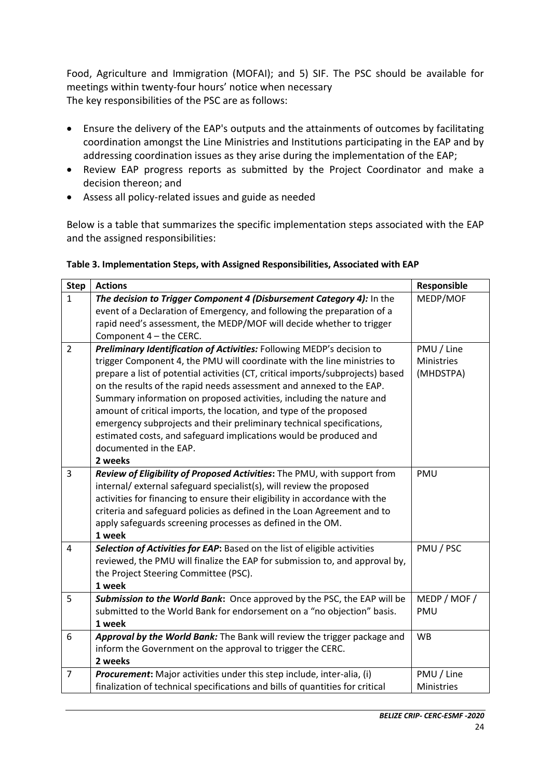Food, Agriculture and Immigration (MOFAI); and 5) SIF. The PSC should be available for meetings within twenty-four hours' notice when necessary The key responsibilities of the PSC are as follows:

- Ensure the delivery of the EAP's outputs and the attainments of outcomes by facilitating coordination amongst the Line Ministries and Institutions participating in the EAP and by addressing coordination issues as they arise during the implementation of the EAP;
- Review EAP progress reports as submitted by the Project Coordinator and make a decision thereon; and
- Assess all policy-related issues and guide as needed

Below is a table that summarizes the specific implementation steps associated with the EAP and the assigned responsibilities:

<span id="page-23-0"></span>

| Table 3. Implementation Steps, with Assigned Responsibilities, Associated with EAP |  |
|------------------------------------------------------------------------------------|--|
|------------------------------------------------------------------------------------|--|

| <b>Step</b>    | <b>Actions</b>                                                                                                                                                                                                                                                                                                                                                                                                                                                                                                                                                                                                                                 | Responsible                           |
|----------------|------------------------------------------------------------------------------------------------------------------------------------------------------------------------------------------------------------------------------------------------------------------------------------------------------------------------------------------------------------------------------------------------------------------------------------------------------------------------------------------------------------------------------------------------------------------------------------------------------------------------------------------------|---------------------------------------|
| $\mathbf{1}$   | The decision to Trigger Component 4 (Disbursement Category 4): In the                                                                                                                                                                                                                                                                                                                                                                                                                                                                                                                                                                          | MEDP/MOF                              |
|                | event of a Declaration of Emergency, and following the preparation of a                                                                                                                                                                                                                                                                                                                                                                                                                                                                                                                                                                        |                                       |
|                | rapid need's assessment, the MEDP/MOF will decide whether to trigger                                                                                                                                                                                                                                                                                                                                                                                                                                                                                                                                                                           |                                       |
|                | Component 4 - the CERC.                                                                                                                                                                                                                                                                                                                                                                                                                                                                                                                                                                                                                        |                                       |
| $\overline{2}$ | Preliminary Identification of Activities: Following MEDP's decision to<br>trigger Component 4, the PMU will coordinate with the line ministries to<br>prepare a list of potential activities (CT, critical imports/subprojects) based<br>on the results of the rapid needs assessment and annexed to the EAP.<br>Summary information on proposed activities, including the nature and<br>amount of critical imports, the location, and type of the proposed<br>emergency subprojects and their preliminary technical specifications,<br>estimated costs, and safeguard implications would be produced and<br>documented in the EAP.<br>2 weeks | PMU / Line<br>Ministries<br>(MHDSTPA) |
| 3              | Review of Eligibility of Proposed Activities: The PMU, with support from<br>internal/external safeguard specialist(s), will review the proposed<br>activities for financing to ensure their eligibility in accordance with the<br>criteria and safeguard policies as defined in the Loan Agreement and to<br>apply safeguards screening processes as defined in the OM.<br>1 week                                                                                                                                                                                                                                                              | PMU                                   |
| $\overline{4}$ | Selection of Activities for EAP: Based on the list of eligible activities<br>reviewed, the PMU will finalize the EAP for submission to, and approval by,<br>the Project Steering Committee (PSC).<br>1 week                                                                                                                                                                                                                                                                                                                                                                                                                                    | PMU / PSC                             |
| 5              | Submission to the World Bank: Once approved by the PSC, the EAP will be<br>submitted to the World Bank for endorsement on a "no objection" basis.<br>1 week                                                                                                                                                                                                                                                                                                                                                                                                                                                                                    | MEDP / MOF /<br>PMU                   |
| 6              | Approval by the World Bank: The Bank will review the trigger package and<br>inform the Government on the approval to trigger the CERC.<br>2 weeks                                                                                                                                                                                                                                                                                                                                                                                                                                                                                              | <b>WB</b>                             |
| $\overline{7}$ | Procurement: Major activities under this step include, inter-alia, (i)                                                                                                                                                                                                                                                                                                                                                                                                                                                                                                                                                                         | PMU / Line                            |
|                | finalization of technical specifications and bills of quantities for critical                                                                                                                                                                                                                                                                                                                                                                                                                                                                                                                                                                  | Ministries                            |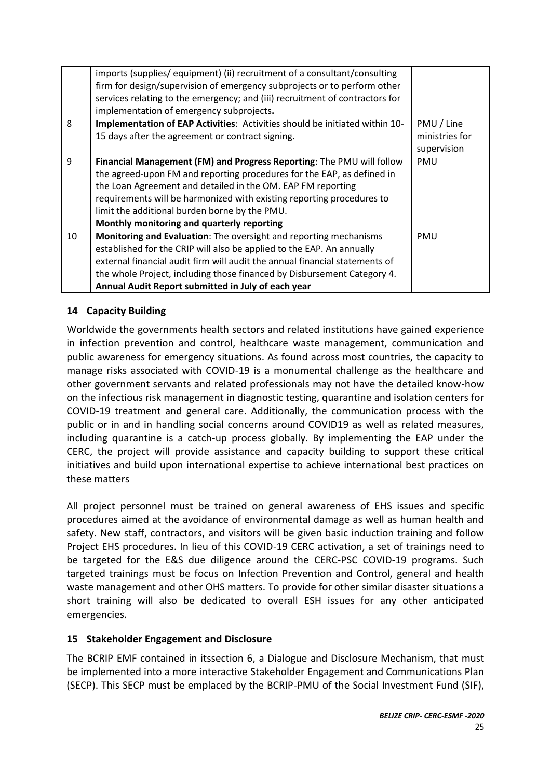|    | imports (supplies/equipment) (ii) recruitment of a consultant/consulting     |                |
|----|------------------------------------------------------------------------------|----------------|
|    | firm for design/supervision of emergency subprojects or to perform other     |                |
|    | services relating to the emergency; and (iii) recruitment of contractors for |                |
|    | implementation of emergency subprojects.                                     |                |
| 8  | Implementation of EAP Activities: Activities should be initiated within 10-  | PMU / Line     |
|    | 15 days after the agreement or contract signing.                             | ministries for |
|    |                                                                              | supervision    |
| 9  | Financial Management (FM) and Progress Reporting: The PMU will follow        | <b>PMU</b>     |
|    | the agreed-upon FM and reporting procedures for the EAP, as defined in       |                |
|    | the Loan Agreement and detailed in the OM. EAP FM reporting                  |                |
|    | requirements will be harmonized with existing reporting procedures to        |                |
|    | limit the additional burden borne by the PMU.                                |                |
|    | Monthly monitoring and quarterly reporting                                   |                |
| 10 | Monitoring and Evaluation: The oversight and reporting mechanisms            | <b>PMU</b>     |
|    | established for the CRIP will also be applied to the EAP. An annually        |                |
|    | external financial audit firm will audit the annual financial statements of  |                |
|    | the whole Project, including those financed by Disbursement Category 4.      |                |
|    | Annual Audit Report submitted in July of each year                           |                |

# <span id="page-24-0"></span>**14 Capacity Building**

Worldwide the governments health sectors and related institutions have gained experience in infection prevention and control, healthcare waste management, communication and public awareness for emergency situations. As found across most countries, the capacity to manage risks associated with COVID-19 is a monumental challenge as the healthcare and other government servants and related professionals may not have the detailed know-how on the infectious risk management in diagnostic testing, quarantine and isolation centers for COVID-19 treatment and general care. Additionally, the communication process with the public or in and in handling social concerns around COVID19 as well as related measures, including quarantine is a catch-up process globally. By implementing the EAP under the CERC, the project will provide assistance and capacity building to support these critical initiatives and build upon international expertise to achieve international best practices on these matters

All project personnel must be trained on general awareness of EHS issues and specific procedures aimed at the avoidance of environmental damage as well as human health and safety. New staff, contractors, and visitors will be given basic induction training and follow Project EHS procedures. In lieu of this COVID-19 CERC activation, a set of trainings need to be targeted for the E&S due diligence around the CERC-PSC COVID-19 programs. Such targeted trainings must be focus on Infection Prevention and Control, general and health waste management and other OHS matters. To provide for other similar disaster situations a short training will also be dedicated to overall ESH issues for any other anticipated emergencies.

# <span id="page-24-1"></span>**15 Stakeholder Engagement and Disclosure**

The BCRIP EMF contained in itssection 6, a Dialogue and Disclosure Mechanism, that must be implemented into a more interactive Stakeholder Engagement and Communications Plan (SECP). This SECP must be emplaced by the BCRIP-PMU of the Social Investment Fund (SIF),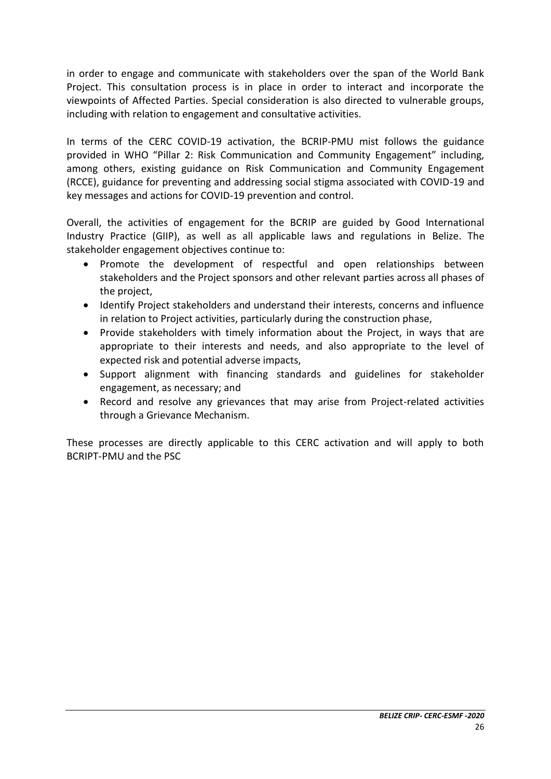in order to engage and communicate with stakeholders over the span of the World Bank Project. This consultation process is in place in order to interact and incorporate the viewpoints of Affected Parties. Special consideration is also directed to vulnerable groups, including with relation to engagement and consultative activities.

In terms of the CERC COVID-19 activation, the BCRIP-PMU mist follows the guidance provided in WHO "Pillar 2: Risk Communication and Community Engagement" including, among others, existing guidance on Risk Communication and Community Engagement (RCCE), guidance for preventing and addressing social stigma associated with COVID-19 and key messages and actions for COVID-19 prevention and control.

Overall, the activities of engagement for the BCRIP are guided by Good International Industry Practice (GIIP), as well as all applicable laws and regulations in Belize. The stakeholder engagement objectives continue to:

- Promote the development of respectful and open relationships between stakeholders and the Project sponsors and other relevant parties across all phases of the project,
- Identify Project stakeholders and understand their interests, concerns and influence in relation to Project activities, particularly during the construction phase,
- Provide stakeholders with timely information about the Project, in ways that are appropriate to their interests and needs, and also appropriate to the level of expected risk and potential adverse impacts,
- Support alignment with financing standards and guidelines for stakeholder engagement, as necessary; and
- Record and resolve any grievances that may arise from Project-related activities through a Grievance Mechanism.

These processes are directly applicable to this CERC activation and will apply to both BCRIPT-PMU and the PSC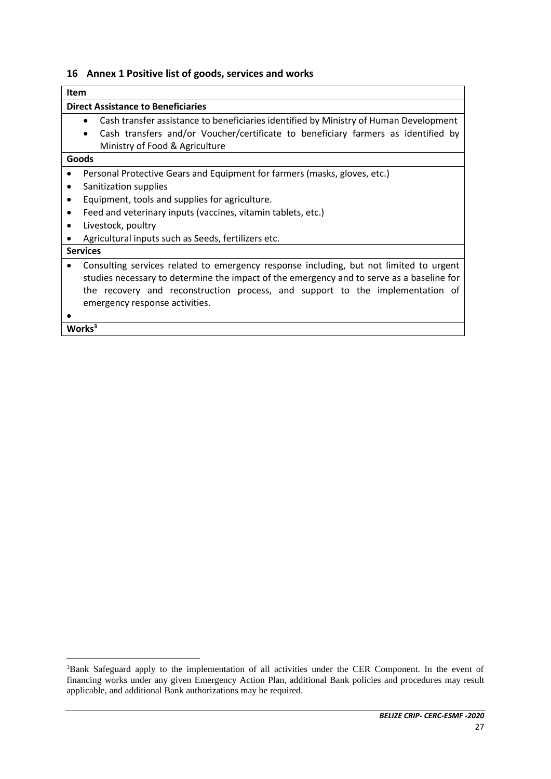## <span id="page-26-0"></span>**16 Annex 1 Positive list of goods, services and works**

| <b>Item</b>                                                                                        |  |  |  |
|----------------------------------------------------------------------------------------------------|--|--|--|
| <b>Direct Assistance to Beneficiaries</b>                                                          |  |  |  |
| Cash transfer assistance to beneficiaries identified by Ministry of Human Development<br>$\bullet$ |  |  |  |
| Cash transfers and/or Voucher/certificate to beneficiary farmers as identified by<br>$\bullet$     |  |  |  |
| Ministry of Food & Agriculture                                                                     |  |  |  |
| Goods                                                                                              |  |  |  |
| Personal Protective Gears and Equipment for farmers (masks, gloves, etc.)                          |  |  |  |
| Sanitization supplies<br>٠                                                                         |  |  |  |
| Equipment, tools and supplies for agriculture.                                                     |  |  |  |
| Feed and veterinary inputs (vaccines, vitamin tablets, etc.)<br>٠                                  |  |  |  |
| Livestock, poultry                                                                                 |  |  |  |
| Agricultural inputs such as Seeds, fertilizers etc.                                                |  |  |  |
| <b>Services</b>                                                                                    |  |  |  |
| Consulting services related to emergency response including, but not limited to urgent             |  |  |  |
| studies necessary to determine the impact of the emergency and to serve as a baseline for          |  |  |  |
| the recovery and reconstruction process, and support to the implementation of                      |  |  |  |
| emergency response activities.                                                                     |  |  |  |
|                                                                                                    |  |  |  |
| Works <sup>3</sup>                                                                                 |  |  |  |
|                                                                                                    |  |  |  |

<sup>3</sup>Bank Safeguard apply to the implementation of all activities under the CER Component. In the event of financing works under any given Emergency Action Plan, additional Bank policies and procedures may result applicable, and additional Bank authorizations may be required.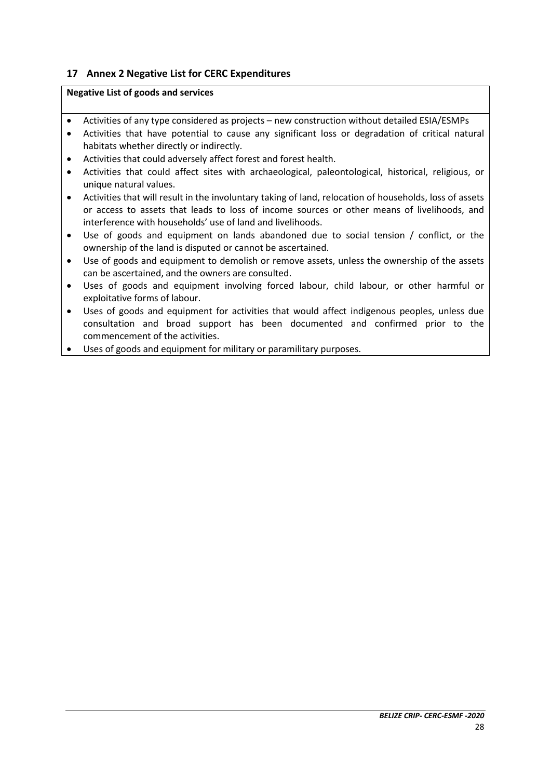# <span id="page-27-0"></span>**17 Annex 2 Negative List for CERC Expenditures**

#### **Negative List of goods and services**

- Activities of any type considered as projects new construction without detailed ESIA/ESMPs
- Activities that have potential to cause any significant loss or degradation of critical natural habitats whether directly or indirectly.
- Activities that could adversely affect forest and forest health.
- Activities that could affect sites with archaeological, paleontological, historical, religious, or unique natural values.
- Activities that will result in the involuntary taking of land, relocation of households, loss of assets or access to assets that leads to loss of income sources or other means of livelihoods, and interference with households' use of land and livelihoods.
- Use of goods and equipment on lands abandoned due to social tension / conflict, or the ownership of the land is disputed or cannot be ascertained.
- Use of goods and equipment to demolish or remove assets, unless the ownership of the assets can be ascertained, and the owners are consulted.
- Uses of goods and equipment involving forced labour, child labour, or other harmful or exploitative forms of labour.
- Uses of goods and equipment for activities that would affect indigenous peoples, unless due consultation and broad support has been documented and confirmed prior to the commencement of the activities.
- Uses of goods and equipment for military or paramilitary purposes.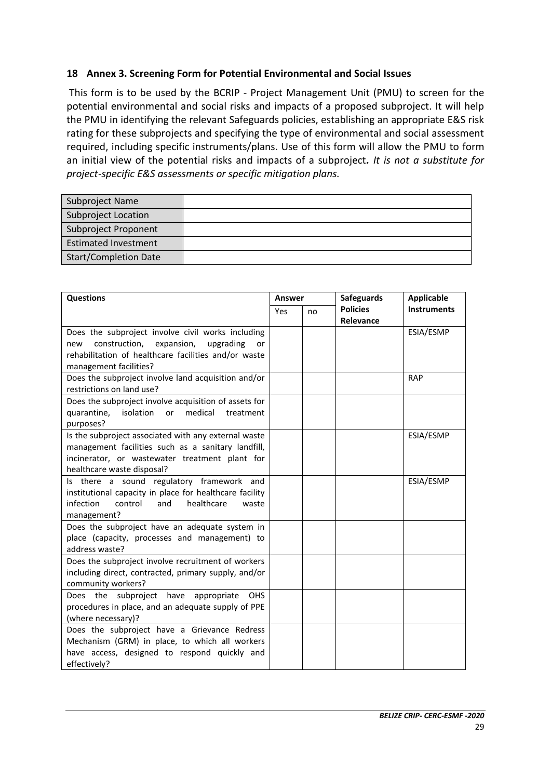## <span id="page-28-0"></span>**18 Annex 3. Screening Form for Potential Environmental and Social Issues**

This form is to be used by the BCRIP - Project Management Unit (PMU) to screen for the potential environmental and social risks and impacts of a proposed subproject. It will help the PMU in identifying the relevant Safeguards policies, establishing an appropriate E&S risk rating for these subprojects and specifying the type of environmental and social assessment required, including specific instruments/plans. Use of this form will allow the PMU to form an initial view of the potential risks and impacts of a subproject*. It is not a substitute for project-specific E&S assessments or specific mitigation plans.*

| Subproject Name              |  |
|------------------------------|--|
| <b>Subproject Location</b>   |  |
| Subproject Proponent         |  |
| <b>Estimated Investment</b>  |  |
| <b>Start/Completion Date</b> |  |
|                              |  |

| <b>Questions</b>                                                                                                                                                                             |            | Answer | <b>Safeguards</b>            | <b>Applicable</b>  |
|----------------------------------------------------------------------------------------------------------------------------------------------------------------------------------------------|------------|--------|------------------------------|--------------------|
|                                                                                                                                                                                              | <b>Yes</b> | no     | <b>Policies</b><br>Relevance | <b>Instruments</b> |
| Does the subproject involve civil works including<br>construction,<br>expansion,<br>upgrading<br>new<br>or<br>rehabilitation of healthcare facilities and/or waste<br>management facilities? |            |        |                              | ESIA/ESMP          |
| Does the subproject involve land acquisition and/or<br>restrictions on land use?                                                                                                             |            |        |                              | <b>RAP</b>         |
| Does the subproject involve acquisition of assets for<br>medical<br>isolation or<br>quarantine,<br>treatment<br>purposes?                                                                    |            |        |                              |                    |
| Is the subproject associated with any external waste<br>management facilities such as a sanitary landfill,<br>incinerator, or wastewater treatment plant for<br>healthcare waste disposal?   |            |        |                              | ESIA/ESMP          |
| Is there a sound regulatory framework and<br>institutional capacity in place for healthcare facility<br>healthcare<br>infection<br>control<br>and<br>waste<br>management?                    |            |        |                              | ESIA/ESMP          |
| Does the subproject have an adequate system in<br>place (capacity, processes and management) to<br>address waste?                                                                            |            |        |                              |                    |
| Does the subproject involve recruitment of workers<br>including direct, contracted, primary supply, and/or<br>community workers?                                                             |            |        |                              |                    |
| Does the subproject have appropriate<br><b>OHS</b><br>procedures in place, and an adequate supply of PPE<br>(where necessary)?                                                               |            |        |                              |                    |
| Does the subproject have a Grievance Redress<br>Mechanism (GRM) in place, to which all workers<br>have access, designed to respond quickly and<br>effectively?                               |            |        |                              |                    |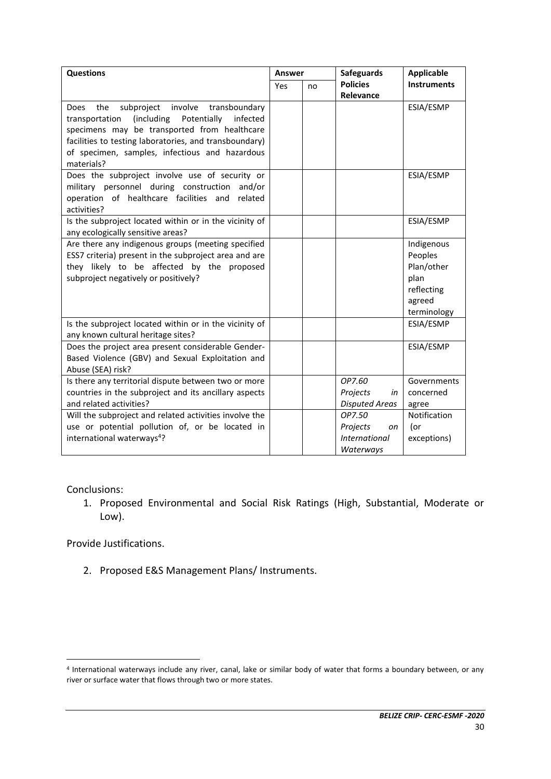| <b>Questions</b>                                                                                                                                                                                                                                                                           |     | Answer | <b>Safeguards</b>                                             | <b>Applicable</b>                                                                  |  |
|--------------------------------------------------------------------------------------------------------------------------------------------------------------------------------------------------------------------------------------------------------------------------------------------|-----|--------|---------------------------------------------------------------|------------------------------------------------------------------------------------|--|
|                                                                                                                                                                                                                                                                                            | Yes | no     | <b>Policies</b><br>Relevance                                  | <b>Instruments</b>                                                                 |  |
| subproject<br>involve<br>Does<br>the<br>transboundary<br>(including<br>Potentially<br>infected<br>transportation<br>specimens may be transported from healthcare<br>facilities to testing laboratories, and transboundary)<br>of specimen, samples, infectious and hazardous<br>materials? |     |        |                                                               | ESIA/ESMP                                                                          |  |
| Does the subproject involve use of security or<br>military personnel during construction<br>and/or<br>operation of healthcare facilities and<br>related<br>activities?                                                                                                                     |     |        |                                                               | ESIA/ESMP                                                                          |  |
| Is the subproject located within or in the vicinity of<br>any ecologically sensitive areas?                                                                                                                                                                                                |     |        |                                                               | ESIA/ESMP                                                                          |  |
| Are there any indigenous groups (meeting specified<br>ESS7 criteria) present in the subproject area and are<br>they likely to be affected by the proposed<br>subproject negatively or positively?                                                                                          |     |        |                                                               | Indigenous<br>Peoples<br>Plan/other<br>plan<br>reflecting<br>agreed<br>terminology |  |
| Is the subproject located within or in the vicinity of<br>any known cultural heritage sites?                                                                                                                                                                                               |     |        |                                                               | ESIA/ESMP                                                                          |  |
| Does the project area present considerable Gender-<br>Based Violence (GBV) and Sexual Exploitation and<br>Abuse (SEA) risk?                                                                                                                                                                |     |        |                                                               | ESIA/ESMP                                                                          |  |
| Is there any territorial dispute between two or more<br>countries in the subproject and its ancillary aspects<br>and related activities?                                                                                                                                                   |     |        | OP7.60<br>Projects<br>in<br><b>Disputed Areas</b>             | Governments<br>concerned<br>agree                                                  |  |
| Will the subproject and related activities involve the<br>use or potential pollution of, or be located in<br>international waterways <sup>4</sup> ?                                                                                                                                        |     |        | OP7.50<br>Projects<br>on<br><i>International</i><br>Waterways | Notification<br>(or<br>exceptions)                                                 |  |

Conclusions:

1. Proposed Environmental and Social Risk Ratings (High, Substantial, Moderate or Low).

Provide Justifications.

2. Proposed E&S Management Plans/ Instruments.

<sup>4</sup> International waterways include any river, canal, lake or similar body of water that forms a boundary between, or any river or surface water that flows through two or more states.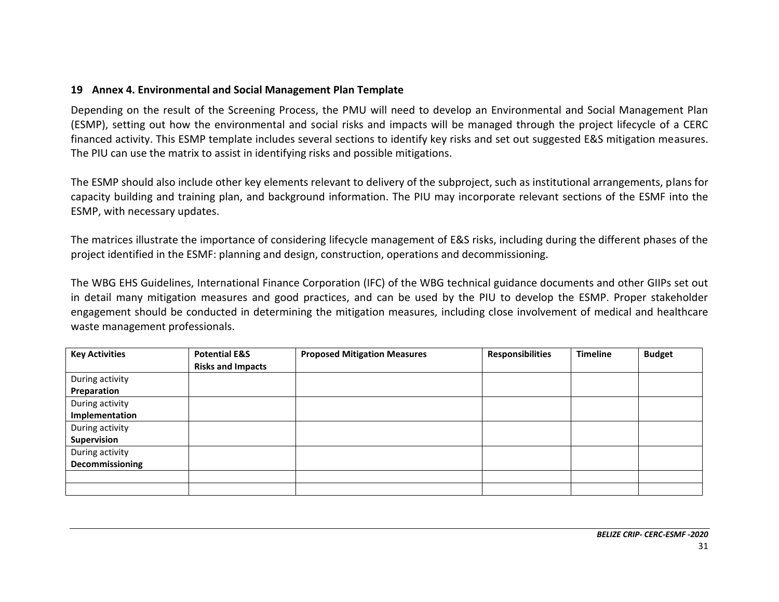#### **19 Annex 4. Environmental and Social Management Plan Template**

Depending on the result of the Screening Process, the PMU will need to develop an Environmental and Social Management Plan (ESMP), setting out how the environmental and social risks and impacts will be managed through the project lifecycle of a CERC financed activity. This ESMP template includes several sections to identify key risks and set out suggested E&S mitigation measures. The PIU can use the matrix to assist in identifying risks and possible mitigations.

The ESMP should also include other key elements relevant to delivery of the subproject, such as institutional arrangements, plans for capacity building and training plan, and background information. The PIU may incorporate relevant sections of the ESMF into the ESMP, with necessary updates.

The matrices illustrate the importance of considering lifecycle management of E&S risks, including during the different phases of the project identified in the ESMF: planning and design, construction, operations and decommissioning.

<span id="page-30-0"></span>The WBG EHS Guidelines, International Finance Corporation (IFC) of the WBG technical guidance documents and other GIIPs set out in detail many mitigation measures and good practices, and can be used by the PIU to develop the ESMP. Proper stakeholder engagement should be conducted in determining the mitigation measures, including close involvement of medical and healthcare waste management professionals.

| <b>Key Activities</b> | <b>Potential E&amp;S</b> | <b>Proposed Mitigation Measures</b> | <b>Responsibilities</b> | <b>Timeline</b> | <b>Budget</b> |
|-----------------------|--------------------------|-------------------------------------|-------------------------|-----------------|---------------|
|                       | <b>Risks and Impacts</b> |                                     |                         |                 |               |
| During activity       |                          |                                     |                         |                 |               |
| Preparation           |                          |                                     |                         |                 |               |
| During activity       |                          |                                     |                         |                 |               |
| Implementation        |                          |                                     |                         |                 |               |
| During activity       |                          |                                     |                         |                 |               |
| Supervision           |                          |                                     |                         |                 |               |
| During activity       |                          |                                     |                         |                 |               |
| Decommissioning       |                          |                                     |                         |                 |               |
|                       |                          |                                     |                         |                 |               |
|                       |                          |                                     |                         |                 |               |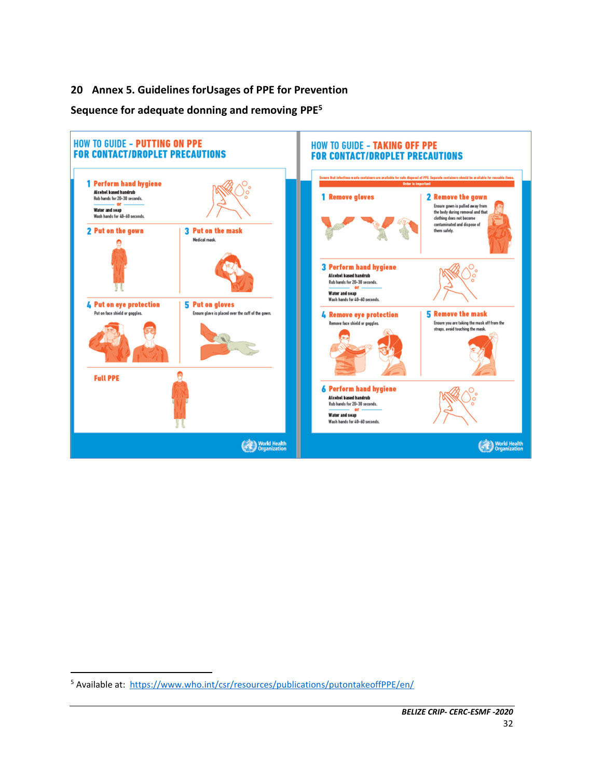### **20 Annex 5. Guidelines forUsages of PPE for Prevention**

**Sequence for adequate donning and removing PPE<sup>5</sup>**

<span id="page-31-0"></span>

<sup>&</sup>lt;sup>5</sup> Available at: <https://www.who.int/csr/resources/publications/putontakeoffPPE/en/>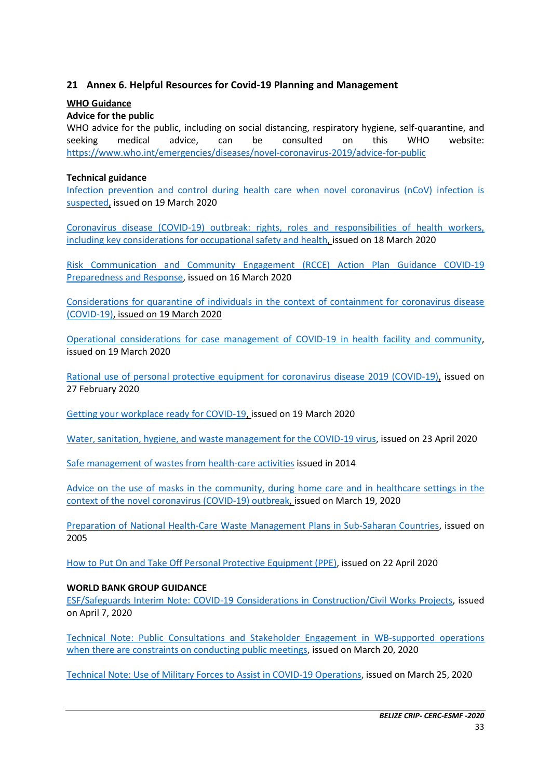#### <span id="page-32-0"></span>**21 Annex 6. Helpful Resources for Covid-19 Planning and Management**

#### **WHO Guidance**

#### **Advice for the public**

WHO advice for the public, including on social distancing, respiratory hygiene, self-quarantine, and seeking medical advice, can be consulted on this WHO website: <https://www.who.int/emergencies/diseases/novel-coronavirus-2019/advice-for-public>

#### **Technical guidance**

[Infection prevention and control during health care when novel coronavirus \(nCoV\) infection is](https://www.who.int/publications-detail/infection-prevention-and-control-during-health-care-when-novel-coronavirus-(ncov)-infection-is-suspected-20200125)  [suspected,](https://www.who.int/publications-detail/infection-prevention-and-control-during-health-care-when-novel-coronavirus-(ncov)-infection-is-suspected-20200125) issued on 19 March 2020

[Coronavirus disease \(COVID-19\) outbreak: rights, roles and responsibilities of health workers,](https://www.who.int/publications-detail/coronavirus-disease-(covid-19)-outbreak-rights-roles-and-responsibilities-of-health-workers-including-key-considerations-for-occupational-safety-and-health)  [including key considerations for occupational safety](https://www.who.int/publications-detail/coronavirus-disease-(covid-19)-outbreak-rights-roles-and-responsibilities-of-health-workers-including-key-considerations-for-occupational-safety-and-health) and health, issued on 18 March 2020

[Risk Communication and Community Engagement \(RCCE\) Action Plan Guidance COVID-19](https://www.who.int/publications-detail/risk-communication-and-community-engagement-(rcce)-action-plan-guidance)  [Preparedness and Response,](https://www.who.int/publications-detail/risk-communication-and-community-engagement-(rcce)-action-plan-guidance) issued on 16 March 2020

Considerations for quarantine of individuals in [the context of containment for coronavirus disease](https://www.who.int/publications-detail/considerations-for-quarantine-of-individuals-in-the-context-of-containment-for-coronavirus-disease-(covid-19))  [\(COVID-19\),](https://www.who.int/publications-detail/considerations-for-quarantine-of-individuals-in-the-context-of-containment-for-coronavirus-disease-(covid-19)) issued on 19 March 2020

[Operational considerations for case management of COVID-19 in health facility and community,](https://apps.who.int/iris/bitstream/handle/10665/331492/WHO-2019-nCoV-HCF_operations-2020.1-eng.pdf) issued on 19 March 2020

[Rational use of personal protective equipment for coronavirus disease 2019 \(COVID-19\),](https://apps.who.int/iris/bitstream/handle/10665/331215/WHO-2019-nCov-IPCPPE_use-2020.1-eng.pdf) issued on 27 February 2020

[Getting your workplace ready for COVID-19,](https://www.who.int/docs/default-source/coronaviruse/getting-workplace-ready-for-covid-19.pdf) issued on 19 March 2020

[Water, sanitation, hygiene, and waste management for the COVID-19 virus,](https://apps.who.int/iris/bitstream/handle/10665/331846/WHO-2019-nCoV-IPC_WASH-2020.3-eng.pdf) issued on 23 April 2020

[Safe management of wastes from health-care activities](https://apps.who.int/iris/bitstream/handle/10665/85349/9789241548564_eng.pdf?sequence=1) issued in 2014

[Advice on the use of masks in the community, during home care and in healthcare settings in the](https://www.who.int/publications-detail/advice-on-the-use-of-masks-in-the-community-during-home-care-and-in-healthcare-settings-in-the-context-of-the-novel-coronavirus-(2019-ncov)-outbreak)  [context of the novel coronavirus \(COVID-19\) outbreak,](https://www.who.int/publications-detail/advice-on-the-use-of-masks-in-the-community-during-home-care-and-in-healthcare-settings-in-the-context-of-the-novel-coronavirus-(2019-ncov)-outbreak) issued on March 19, 2020

Preparation of National [Health-Care Waste Management Plans in Sub-Saharan Countries,](https://www.who.int/water_sanitation_health/publications/healthcare-waste-guidance-manual/en/) issued on 2005

[How to Put On and Take Off Personal Protective Equipment \(PPE\),](https://www.who.int/csr/resources/publications/putontakeoffPPE/en/) issued on 22 April 2020

#### **WORLD BANK GROUP GUIDANCE**

[ESF/Safeguards Interim Note: COVID-19 Considerations in Construction/Civil Works Projects,](https://worldbankgroup.sharepoint.com/sites/wbunits/opcs/Knowledge%20Base/ESF%20Safeguards%20Interim%20Note%20Construction%20Civil%20Works%20COVID.pdf) issued on April 7, 2020

[Technical Note: Public Consultations and Stakeholder Engagement in WB-supported operations](https://worldbankgroup.sharepoint.com/sites/wbunits/opcs/Knowledge%20Base/Public%20Consultations%20in%20WB%20Operations.pdf)  [when there are constraints on conducting public meetings,](https://worldbankgroup.sharepoint.com/sites/wbunits/opcs/Knowledge%20Base/Public%20Consultations%20in%20WB%20Operations.pdf) issued on March 20, 2020

[Technical Note: Use of Military Forces to Assist in COVID-19 Operations,](https://worldbankgroup.sharepoint.com/sites/wbunits/opcs/Knowledge%20Base/Security%20Forces%20EandS%20issues%20in%20COVID%20projects.pdf) issued on March 25, 2020